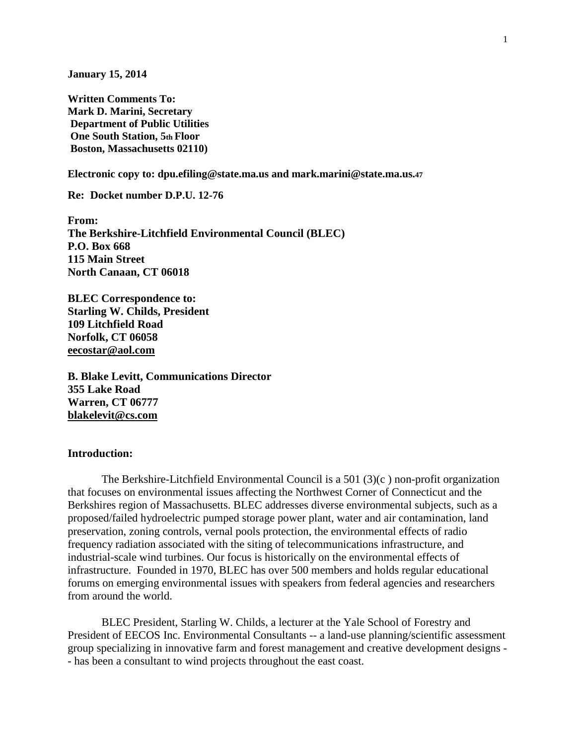**January 15, 2014** 

**Written Comments To: Mark D. Marini, Secretary Department of Public Utilities One South Station, 5th Floor Boston, Massachusetts 02110)** 

**Electronic copy to: dpu.efiling@state.ma.us and mark.marini@state.ma.us.<sup>47</sup>**

**Re: Docket number D.P.U. 12-76** 

**From: The Berkshire-Litchfield Environmental Council (BLEC) P.O. Box 668 115 Main Street North Canaan, CT 06018** 

**BLEC Correspondence to: Starling W. Childs, President 109 Litchfield Road Norfolk, CT 06058 eecostar@aol.com**

**B. Blake Levitt, Communications Director 355 Lake Road Warren, CT 06777 blakelevit@cs.com**

#### **Introduction:**

The Berkshire-Litchfield Environmental Council is a 501 (3)(c ) non-profit organization that focuses on environmental issues affecting the Northwest Corner of Connecticut and the Berkshires region of Massachusetts. BLEC addresses diverse environmental subjects, such as a proposed/failed hydroelectric pumped storage power plant, water and air contamination, land preservation, zoning controls, vernal pools protection, the environmental effects of radio frequency radiation associated with the siting of telecommunications infrastructure, and industrial-scale wind turbines. Our focus is historically on the environmental effects of infrastructure. Founded in 1970, BLEC has over 500 members and holds regular educational forums on emerging environmental issues with speakers from federal agencies and researchers from around the world.

BLEC President, Starling W. Childs, a lecturer at the Yale School of Forestry and President of EECOS Inc. Environmental Consultants -- a land-use planning/scientific assessment group specializing in innovative farm and forest management and creative development designs - - has been a consultant to wind projects throughout the east coast.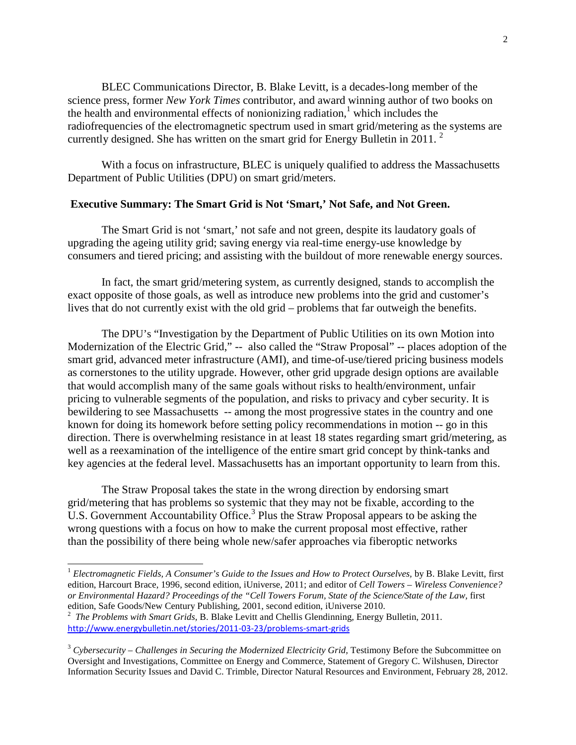BLEC Communications Director, B. Blake Levitt, is a decades-long member of the science press, former *New York Times* contributor, and award winning author of two books on the health and environmental effects of nonionizing radiation,<sup>1</sup> which includes the radiofrequencies of the electromagnetic spectrum used in smart grid/metering as the systems are currently designed. She has written on the smart grid for Energy Bulletin in 2011.<sup>2</sup>

 With a focus on infrastructure, BLEC is uniquely qualified to address the Massachusetts Department of Public Utilities (DPU) on smart grid/meters.

#### **Executive Summary: The Smart Grid is Not 'Smart,' Not Safe, and Not Green.**

The Smart Grid is not 'smart,' not safe and not green, despite its laudatory goals of upgrading the ageing utility grid; saving energy via real-time energy-use knowledge by consumers and tiered pricing; and assisting with the buildout of more renewable energy sources.

 In fact, the smart grid/metering system, as currently designed, stands to accomplish the exact opposite of those goals, as well as introduce new problems into the grid and customer's lives that do not currently exist with the old grid – problems that far outweigh the benefits.

 The DPU's "Investigation by the Department of Public Utilities on its own Motion into Modernization of the Electric Grid," -- also called the "Straw Proposal" -- places adoption of the smart grid, advanced meter infrastructure (AMI), and time-of-use/tiered pricing business models as cornerstones to the utility upgrade. However, other grid upgrade design options are available that would accomplish many of the same goals without risks to health/environment, unfair pricing to vulnerable segments of the population, and risks to privacy and cyber security. It is bewildering to see Massachusetts -- among the most progressive states in the country and one known for doing its homework before setting policy recommendations in motion -- go in this direction. There is overwhelming resistance in at least 18 states regarding smart grid/metering, as well as a reexamination of the intelligence of the entire smart grid concept by think-tanks and key agencies at the federal level. Massachusetts has an important opportunity to learn from this.

 The Straw Proposal takes the state in the wrong direction by endorsing smart grid/metering that has problems so systemic that they may not be fixable, according to the U.S. Government Accountability Office.<sup>3</sup> Plus the Straw Proposal appears to be asking the wrong questions with a focus on how to make the current proposal most effective, rather than the possibility of there being whole new/safer approaches via fiberoptic networks

1

<sup>1</sup> *Electromagnetic Fields, A Consumer's Guide to the Issues and How to Protect Ourselves,* by B. Blake Levitt, first edition, Harcourt Brace, 1996, second edition, iUniverse, 2011; and editor of *Cell Towers – Wireless Convenience? or Environmental Hazard? Proceedings of the "Cell Towers Forum, State of the Science/State of the Law,* first edition, Safe Goods/New Century Publishing, 2001, second edition, iUniverse 2010.

<sup>2</sup> *The Problems with Smart Grids,* B. Blake Levitt and Chellis Glendinning, Energy Bulletin, 2011. http://www.energybulletin.net/stories/2011-03-23/problems-smart-grids

<sup>3</sup> *Cybersecurity – Challenges in Securing the Modernized Electricity Grid,* Testimony Before the Subcommittee on Oversight and Investigations, Committee on Energy and Commerce, Statement of Gregory C. Wilshusen, Director Information Security Issues and David C. Trimble, Director Natural Resources and Environment, February 28, 2012.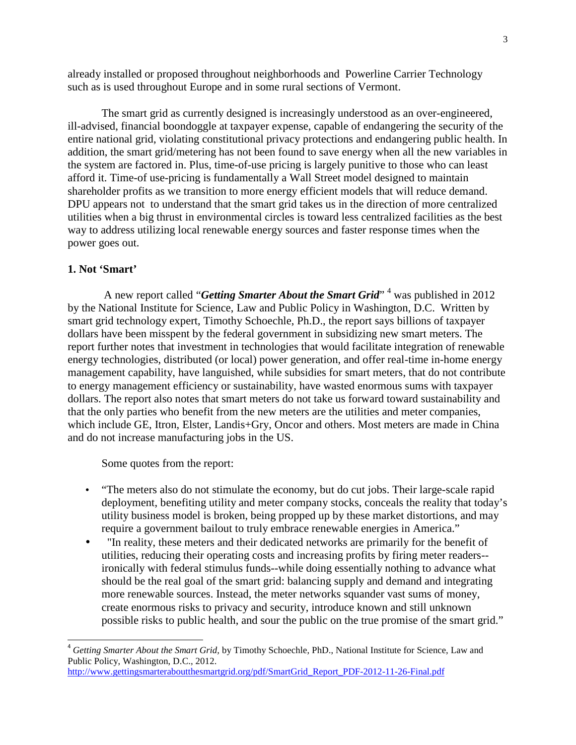already installed or proposed throughout neighborhoods and Powerline Carrier Technology such as is used throughout Europe and in some rural sections of Vermont.

 The smart grid as currently designed is increasingly understood as an over-engineered, ill-advised, financial boondoggle at taxpayer expense, capable of endangering the security of the entire national grid, violating constitutional privacy protections and endangering public health. In addition, the smart grid/metering has not been found to save energy when all the new variables in the system are factored in. Plus, time-of-use pricing is largely punitive to those who can least afford it. Time-of use-pricing is fundamentally a Wall Street model designed to maintain shareholder profits as we transition to more energy efficient models that will reduce demand. DPU appears not to understand that the smart grid takes us in the direction of more centralized utilities when a big thrust in environmental circles is toward less centralized facilities as the best way to address utilizing local renewable energy sources and faster response times when the power goes out.

### **1. Not 'Smart'**

-

A new report called "*Getting Smarter About the Smart Grid*"<sup>4</sup> was published in 2012 by the National Institute for Science, Law and Public Policy in Washington, D.C. Written by smart grid technology expert, Timothy Schoechle, Ph.D., the report says billions of taxpayer dollars have been misspent by the federal government in subsidizing new smart meters. The report further notes that investment in technologies that would facilitate integration of renewable energy technologies, distributed (or local) power generation, and offer real-time in-home energy management capability, have languished, while subsidies for smart meters, that do not contribute to energy management efficiency or sustainability, have wasted enormous sums with taxpayer dollars. The report also notes that smart meters do not take us forward toward sustainability and that the only parties who benefit from the new meters are the utilities and meter companies, which include GE, Itron, Elster, Landis+Gry, Oncor and others. Most meters are made in China and do not increase manufacturing jobs in the US.

Some quotes from the report:

- "The meters also do not stimulate the economy, but do cut jobs. Their large-scale rapid deployment, benefiting utility and meter company stocks, conceals the reality that today's utility business model is broken, being propped up by these market distortions, and may require a government bailout to truly embrace renewable energies in America."
- "In reality, these meters and their dedicated networks are primarily for the benefit of utilities, reducing their operating costs and increasing profits by firing meter readers- ironically with federal stimulus funds--while doing essentially nothing to advance what should be the real goal of the smart grid: balancing supply and demand and integrating more renewable sources. Instead, the meter networks squander vast sums of money, create enormous risks to privacy and security, introduce known and still unknown possible risks to public health, and sour the public on the true promise of the smart grid."

<sup>4</sup> *Getting Smarter About the Smart Grid,* by Timothy Schoechle, PhD., National Institute for Science, Law and Public Policy, Washington, D.C., 2012.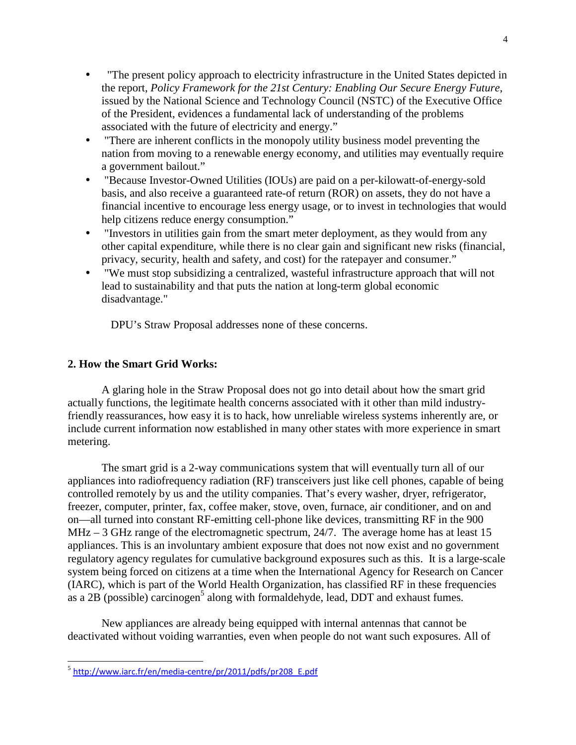- "The present policy approach to electricity infrastructure in the United States depicted in the report, *Policy Framework for the 21st Century: Enabling Our Secure Energy Future,* issued by the National Science and Technology Council (NSTC) of the Executive Office of the President, evidences a fundamental lack of understanding of the problems associated with the future of electricity and energy."
- "There are inherent conflicts in the monopoly utility business model preventing the nation from moving to a renewable energy economy, and utilities may eventually require a government bailout."
- "Because Investor-Owned Utilities (IOUs) are paid on a per-kilowatt-of-energy-sold basis, and also receive a guaranteed rate-of return (ROR) on assets, they do not have a financial incentive to encourage less energy usage, or to invest in technologies that would help citizens reduce energy consumption."
- "Investors in utilities gain from the smart meter deployment, as they would from any other capital expenditure, while there is no clear gain and significant new risks (financial, privacy, security, health and safety, and cost) for the ratepayer and consumer."
- "We must stop subsidizing a centralized, wasteful infrastructure approach that will not lead to sustainability and that puts the nation at long-term global economic disadvantage."

DPU's Straw Proposal addresses none of these concerns.

# **2. How the Smart Grid Works:**

A glaring hole in the Straw Proposal does not go into detail about how the smart grid actually functions, the legitimate health concerns associated with it other than mild industryfriendly reassurances, how easy it is to hack, how unreliable wireless systems inherently are, or include current information now established in many other states with more experience in smart metering.

 The smart grid is a 2-way communications system that will eventually turn all of our appliances into radiofrequency radiation (RF) transceivers just like cell phones, capable of being controlled remotely by us and the utility companies. That's every washer, dryer, refrigerator, freezer, computer, printer, fax, coffee maker, stove, oven, furnace, air conditioner, and on and on—all turned into constant RF-emitting cell-phone like devices, transmitting RF in the 900 MHz – 3 GHz range of the electromagnetic spectrum, 24/7. The average home has at least 15 appliances. This is an involuntary ambient exposure that does not now exist and no government regulatory agency regulates for cumulative background exposures such as this. It is a large-scale system being forced on citizens at a time when the International Agency for Research on Cancer (IARC), which is part of the World Health Organization, has classified RF in these frequencies as a  $2B$  (possible) carcinogen<sup>5</sup> along with formaldehyde, lead, DDT and exhaust fumes.

 New appliances are already being equipped with internal antennas that cannot be deactivated without voiding warranties, even when people do not want such exposures. All of

<sup>-</sup><sup>5</sup> http://www.iarc.fr/en/media-centre/pr/2011/pdfs/pr208 E.pdf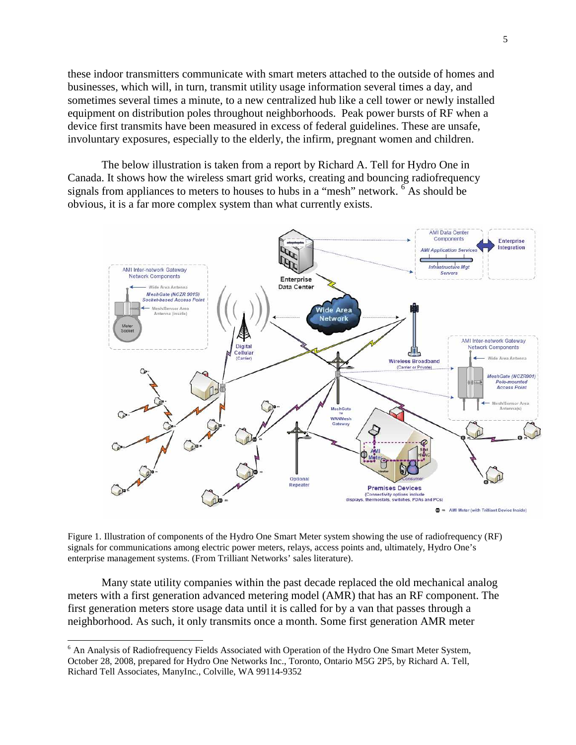these indoor transmitters communicate with smart meters attached to the outside of homes and businesses, which will, in turn, transmit utility usage information several times a day, and sometimes several times a minute, to a new centralized hub like a cell tower or newly installed equipment on distribution poles throughout neighborhoods. Peak power bursts of RF when a device first transmits have been measured in excess of federal guidelines. These are unsafe, involuntary exposures, especially to the elderly, the infirm, pregnant women and children.

The below illustration is taken from a report by Richard A. Tell for Hydro One in Canada. It shows how the wireless smart grid works, creating and bouncing radiofrequency signals from appliances to meters to houses to hubs in a "mesh" network.  $\delta$ As should be obvious, it is a far more complex system than what currently exists.



Figure 1. Illustration of components of the Hydro One Smart Meter system showing the use of radiofrequency (RF) signals for communications among electric power meters, relays, access points and, ultimately, Hydro One's enterprise management systems. (From Trilliant Networks' sales literature).

Many state utility companies within the past decade replaced the old mechanical analog meters with a first generation advanced metering model (AMR) that has an RF component. The first generation meters store usage data until it is called for by a van that passes through a neighborhood. As such, it only transmits once a month. Some first generation AMR meter

<sup>&</sup>lt;sup>6</sup> An Analysis of Radiofrequency Fields Associated with Operation of the Hydro One Smart Meter System, October 28, 2008, prepared for Hydro One Networks Inc., Toronto, Ontario M5G 2P5, by Richard A. Tell, Richard Tell Associates, ManyInc., Colville, WA 99114-9352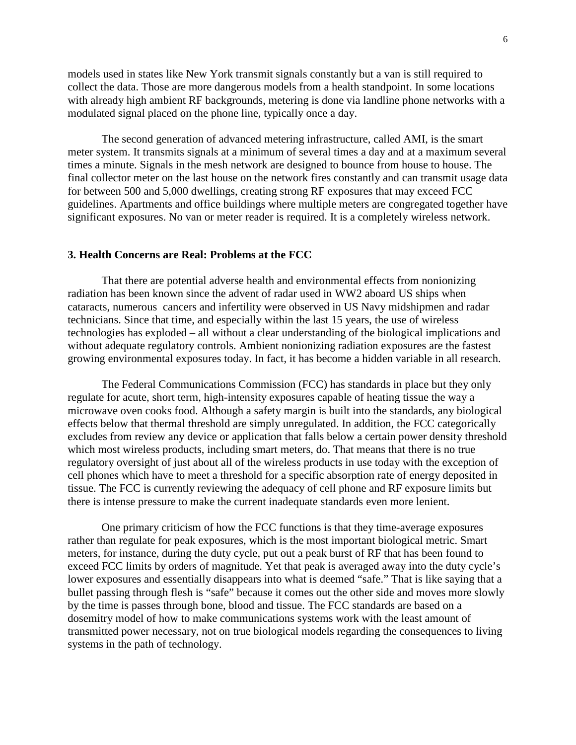models used in states like New York transmit signals constantly but a van is still required to collect the data. Those are more dangerous models from a health standpoint. In some locations with already high ambient RF backgrounds, metering is done via landline phone networks with a modulated signal placed on the phone line, typically once a day.

 The second generation of advanced metering infrastructure, called AMI, is the smart meter system. It transmits signals at a minimum of several times a day and at a maximum several times a minute. Signals in the mesh network are designed to bounce from house to house. The final collector meter on the last house on the network fires constantly and can transmit usage data for between 500 and 5,000 dwellings, creating strong RF exposures that may exceed FCC guidelines. Apartments and office buildings where multiple meters are congregated together have significant exposures. No van or meter reader is required. It is a completely wireless network.

#### **3. Health Concerns are Real: Problems at the FCC**

 That there are potential adverse health and environmental effects from nonionizing radiation has been known since the advent of radar used in WW2 aboard US ships when cataracts, numerous cancers and infertility were observed in US Navy midshipmen and radar technicians. Since that time, and especially within the last 15 years, the use of wireless technologies has exploded – all without a clear understanding of the biological implications and without adequate regulatory controls. Ambient nonionizing radiation exposures are the fastest growing environmental exposures today. In fact, it has become a hidden variable in all research.

 The Federal Communications Commission (FCC) has standards in place but they only regulate for acute, short term, high-intensity exposures capable of heating tissue the way a microwave oven cooks food. Although a safety margin is built into the standards, any biological effects below that thermal threshold are simply unregulated. In addition, the FCC categorically excludes from review any device or application that falls below a certain power density threshold which most wireless products, including smart meters, do. That means that there is no true regulatory oversight of just about all of the wireless products in use today with the exception of cell phones which have to meet a threshold for a specific absorption rate of energy deposited in tissue. The FCC is currently reviewing the adequacy of cell phone and RF exposure limits but there is intense pressure to make the current inadequate standards even more lenient.

 One primary criticism of how the FCC functions is that they time-average exposures rather than regulate for peak exposures, which is the most important biological metric. Smart meters, for instance, during the duty cycle, put out a peak burst of RF that has been found to exceed FCC limits by orders of magnitude. Yet that peak is averaged away into the duty cycle's lower exposures and essentially disappears into what is deemed "safe." That is like saying that a bullet passing through flesh is "safe" because it comes out the other side and moves more slowly by the time is passes through bone, blood and tissue. The FCC standards are based on a dosemitry model of how to make communications systems work with the least amount of transmitted power necessary, not on true biological models regarding the consequences to living systems in the path of technology.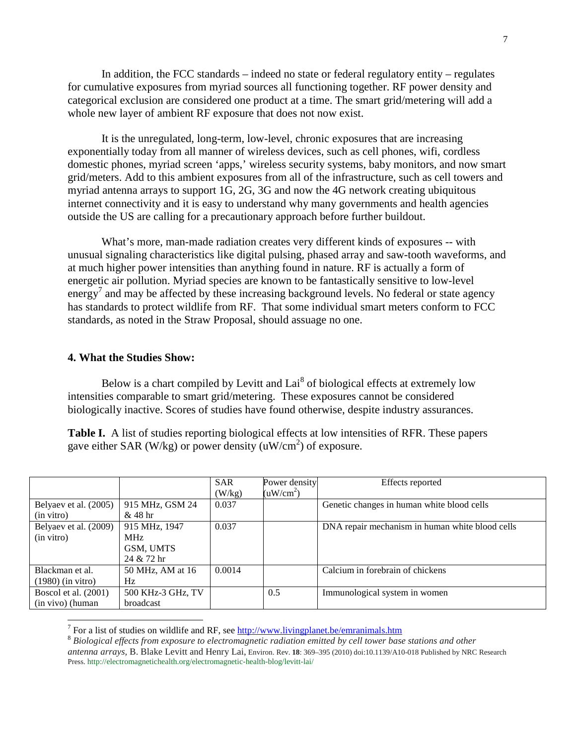In addition, the FCC standards – indeed no state or federal regulatory entity – regulates for cumulative exposures from myriad sources all functioning together. RF power density and categorical exclusion are considered one product at a time. The smart grid/metering will add a whole new layer of ambient RF exposure that does not now exist.

It is the unregulated, long-term, low-level, chronic exposures that are increasing exponentially today from all manner of wireless devices, such as cell phones, wifi, cordless domestic phones, myriad screen 'apps,' wireless security systems, baby monitors, and now smart grid/meters. Add to this ambient exposures from all of the infrastructure, such as cell towers and myriad antenna arrays to support 1G, 2G, 3G and now the 4G network creating ubiquitous internet connectivity and it is easy to understand why many governments and health agencies outside the US are calling for a precautionary approach before further buildout.

What's more, man-made radiation creates very different kinds of exposures -- with unusual signaling characteristics like digital pulsing, phased array and saw-tooth waveforms, and at much higher power intensities than anything found in nature. RF is actually a form of energetic air pollution. Myriad species are known to be fantastically sensitive to low-level energy<sup>7</sup> and may be affected by these increasing background levels. No federal or state agency has standards to protect wildlife from RF. That some individual smart meters conform to FCC standards, as noted in the Straw Proposal, should assuage no one.

#### **4. What the Studies Show:**

-

Below is a chart compiled by Levitt and  $\text{Lai}^8$  of biological effects at extremely low intensities comparable to smart grid/metering. These exposures cannot be considered biologically inactive. Scores of studies have found otherwise, despite industry assurances.

**Table I.** A list of studies reporting biological effects at low intensities of RFR. These papers gave either SAR (W/kg) or power density  $(uW/cm<sup>2</sup>)$  of exposure.

|                       |                   | <b>SAR</b> | Power density         | Effects reported                                |
|-----------------------|-------------------|------------|-----------------------|-------------------------------------------------|
|                       |                   | (W/kg)     | (uW/cm <sup>2</sup> ) |                                                 |
| Belyaev et al. (2005) | 915 MHz, GSM 24   | 0.037      |                       | Genetic changes in human white blood cells      |
| (in vitro)            | $&48$ hr          |            |                       |                                                 |
| Belyaev et al. (2009) | 915 MHz, 1947     | 0.037      |                       | DNA repair mechanism in human white blood cells |
| (in vitro)            | MHz               |            |                       |                                                 |
|                       | GSM, UMTS         |            |                       |                                                 |
|                       | 24 & 72 hr        |            |                       |                                                 |
| Blackman et al.       | 50 MHz, AM at 16  | 0.0014     |                       | Calcium in forebrain of chickens                |
| $(1980)$ (in vitro)   | Hz                |            |                       |                                                 |
| Boscol et al. (2001)  | 500 KHz-3 GHz, TV |            | 0.5                   | Immunological system in women                   |
| (in vivo) (human      | broadcast         |            |                       |                                                 |

<sup>7</sup> For a list of studies on wildlife and RF, see http://www.livingplanet.be/emranimals.htm

<sup>8</sup> *Biological effects from exposure to electromagnetic radiation emitted by cell tower base stations and other antenna arrays,* B. Blake Levitt and Henry Lai, Environ. Rev. **18**: 369–395 (2010) doi:10.1139/A10-018 Published by NRC Research Press. http://electromagnetichealth.org/electromagnetic-health-blog/levitt-lai/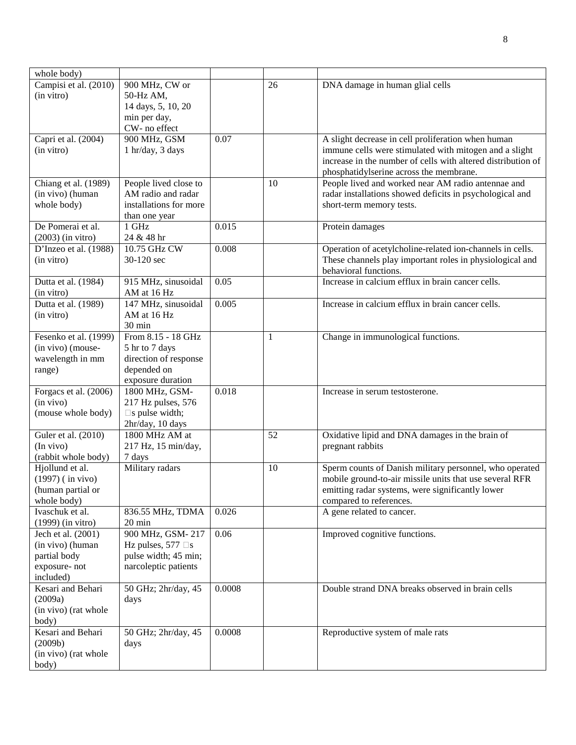| Campisi et al. (2010)<br>900 MHz, CW or<br>26<br>DNA damage in human glial cells<br>(in vitro)<br>50-Hz AM,<br>14 days, 5, 10, 20<br>min per day,<br>CW- no effect<br>0.07<br>Capri et al. (2004)<br>900 MHz, GSM<br>A slight decrease in cell proliferation when human<br>1 hr/day, 3 days<br>immune cells were stimulated with mitogen and a slight<br>(in vitro)<br>increase in the number of cells with altered distribution of<br>phosphatidylserine across the membrane.<br>People lived close to<br>People lived and worked near AM radio antennae and<br>Chiang et al. (1989)<br>10<br>AM radio and radar<br>(in vivo) (human<br>radar installations showed deficits in psychological and<br>whole body)<br>installations for more<br>short-term memory tests.<br>than one year<br>De Pomerai et al.<br>0.015<br>1 GHz<br>Protein damages<br>24 & 48 hr<br>$(2003)$ (in vitro)<br>D'Inzeo et al. (1988)<br>10.75 GHz CW<br>0.008<br>Operation of acetylcholine-related ion-channels in cells.<br>30-120 sec<br>These channels play important roles in physiological and<br>(in vitro)<br>behavioral functions.<br>Increase in calcium efflux in brain cancer cells.<br>0.05<br>Dutta et al. (1984)<br>915 MHz, sinusoidal<br>AM at 16 Hz<br>(in vitro)<br>147 MHz, sinusoidal<br>0.005<br>Increase in calcium efflux in brain cancer cells.<br>Dutta et al. (1989)<br>AM at 16 Hz<br>(in vitro)<br>30 min<br>Fesenko et al. (1999)<br>From 8.15 - 18 GHz<br>$\mathbf{1}$<br>Change in immunological functions.<br>(in vivo) (mouse-<br>5 hr to 7 days<br>wavelength in mm<br>direction of response<br>depended on<br>range)<br>exposure duration<br>1800 MHz, GSM-<br>0.018<br>Forgacs et al. (2006)<br>Increase in serum testosterone.<br>217 Hz pulses, 576<br>(in vivo)<br>(mouse whole body)<br>s pulse width;<br>2hr/day, 10 days<br>Guler et al. (2010)<br>1800 MHz AM at<br>52<br>Oxidative lipid and DNA damages in the brain of<br>(In vivo)<br>217 Hz, 15 min/day,<br>pregnant rabbits<br>(rabbit whole body)<br>7 days<br>Military radars<br>Hjollund et al.<br>Sperm counts of Danish military personnel, who operated<br>10<br>mobile ground-to-air missile units that use several RFR<br>$(1997)$ (in vivo)<br>(human partial or<br>emitting radar systems, were significantly lower<br>whole body)<br>compared to references.<br>836.55 MHz, TDMA<br>0.026<br>Ivaschuk et al.<br>A gene related to cancer.<br>$(1999)$ (in vitro)<br>$20 \text{ min}$<br>900 MHz, GSM-217<br>0.06<br>Improved cognitive functions.<br>Jech et al. (2001)<br>(in vivo) (human<br>Hz pulses, 577 s<br>pulse width; 45 min;<br>partial body<br>narcoleptic patients<br>exposure-not<br>included)<br>Kesari and Behari<br>0.0008<br>50 GHz; 2hr/day, 45<br>Double strand DNA breaks observed in brain cells<br>(2009a)<br>days<br>(in vivo) (rat whole<br>body)<br>Kesari and Behari<br>0.0008<br>50 GHz; 2hr/day, 45<br>Reproductive system of male rats<br>(2009b)<br>days<br>(in vivo) (rat whole | whole body) |  |  |
|---------------------------------------------------------------------------------------------------------------------------------------------------------------------------------------------------------------------------------------------------------------------------------------------------------------------------------------------------------------------------------------------------------------------------------------------------------------------------------------------------------------------------------------------------------------------------------------------------------------------------------------------------------------------------------------------------------------------------------------------------------------------------------------------------------------------------------------------------------------------------------------------------------------------------------------------------------------------------------------------------------------------------------------------------------------------------------------------------------------------------------------------------------------------------------------------------------------------------------------------------------------------------------------------------------------------------------------------------------------------------------------------------------------------------------------------------------------------------------------------------------------------------------------------------------------------------------------------------------------------------------------------------------------------------------------------------------------------------------------------------------------------------------------------------------------------------------------------------------------------------------------------------------------------------------------------------------------------------------------------------------------------------------------------------------------------------------------------------------------------------------------------------------------------------------------------------------------------------------------------------------------------------------------------------------------------------------------------------------------------------------------------------------------------------------------------------------------------------------------------------------------------------------------------------------------------------------------------------------------------------------------------------------------------------------------------------------------------------------------------------------------------------------------------------------------------------------------------------------------------------------------------------------------------------------------------------------------------------------------------------------|-------------|--|--|
|                                                                                                                                                                                                                                                                                                                                                                                                                                                                                                                                                                                                                                                                                                                                                                                                                                                                                                                                                                                                                                                                                                                                                                                                                                                                                                                                                                                                                                                                                                                                                                                                                                                                                                                                                                                                                                                                                                                                                                                                                                                                                                                                                                                                                                                                                                                                                                                                                                                                                                                                                                                                                                                                                                                                                                                                                                                                                                                                                                                                         |             |  |  |
|                                                                                                                                                                                                                                                                                                                                                                                                                                                                                                                                                                                                                                                                                                                                                                                                                                                                                                                                                                                                                                                                                                                                                                                                                                                                                                                                                                                                                                                                                                                                                                                                                                                                                                                                                                                                                                                                                                                                                                                                                                                                                                                                                                                                                                                                                                                                                                                                                                                                                                                                                                                                                                                                                                                                                                                                                                                                                                                                                                                                         |             |  |  |
|                                                                                                                                                                                                                                                                                                                                                                                                                                                                                                                                                                                                                                                                                                                                                                                                                                                                                                                                                                                                                                                                                                                                                                                                                                                                                                                                                                                                                                                                                                                                                                                                                                                                                                                                                                                                                                                                                                                                                                                                                                                                                                                                                                                                                                                                                                                                                                                                                                                                                                                                                                                                                                                                                                                                                                                                                                                                                                                                                                                                         |             |  |  |
|                                                                                                                                                                                                                                                                                                                                                                                                                                                                                                                                                                                                                                                                                                                                                                                                                                                                                                                                                                                                                                                                                                                                                                                                                                                                                                                                                                                                                                                                                                                                                                                                                                                                                                                                                                                                                                                                                                                                                                                                                                                                                                                                                                                                                                                                                                                                                                                                                                                                                                                                                                                                                                                                                                                                                                                                                                                                                                                                                                                                         |             |  |  |
|                                                                                                                                                                                                                                                                                                                                                                                                                                                                                                                                                                                                                                                                                                                                                                                                                                                                                                                                                                                                                                                                                                                                                                                                                                                                                                                                                                                                                                                                                                                                                                                                                                                                                                                                                                                                                                                                                                                                                                                                                                                                                                                                                                                                                                                                                                                                                                                                                                                                                                                                                                                                                                                                                                                                                                                                                                                                                                                                                                                                         |             |  |  |
|                                                                                                                                                                                                                                                                                                                                                                                                                                                                                                                                                                                                                                                                                                                                                                                                                                                                                                                                                                                                                                                                                                                                                                                                                                                                                                                                                                                                                                                                                                                                                                                                                                                                                                                                                                                                                                                                                                                                                                                                                                                                                                                                                                                                                                                                                                                                                                                                                                                                                                                                                                                                                                                                                                                                                                                                                                                                                                                                                                                                         |             |  |  |
|                                                                                                                                                                                                                                                                                                                                                                                                                                                                                                                                                                                                                                                                                                                                                                                                                                                                                                                                                                                                                                                                                                                                                                                                                                                                                                                                                                                                                                                                                                                                                                                                                                                                                                                                                                                                                                                                                                                                                                                                                                                                                                                                                                                                                                                                                                                                                                                                                                                                                                                                                                                                                                                                                                                                                                                                                                                                                                                                                                                                         |             |  |  |
|                                                                                                                                                                                                                                                                                                                                                                                                                                                                                                                                                                                                                                                                                                                                                                                                                                                                                                                                                                                                                                                                                                                                                                                                                                                                                                                                                                                                                                                                                                                                                                                                                                                                                                                                                                                                                                                                                                                                                                                                                                                                                                                                                                                                                                                                                                                                                                                                                                                                                                                                                                                                                                                                                                                                                                                                                                                                                                                                                                                                         |             |  |  |
|                                                                                                                                                                                                                                                                                                                                                                                                                                                                                                                                                                                                                                                                                                                                                                                                                                                                                                                                                                                                                                                                                                                                                                                                                                                                                                                                                                                                                                                                                                                                                                                                                                                                                                                                                                                                                                                                                                                                                                                                                                                                                                                                                                                                                                                                                                                                                                                                                                                                                                                                                                                                                                                                                                                                                                                                                                                                                                                                                                                                         |             |  |  |
|                                                                                                                                                                                                                                                                                                                                                                                                                                                                                                                                                                                                                                                                                                                                                                                                                                                                                                                                                                                                                                                                                                                                                                                                                                                                                                                                                                                                                                                                                                                                                                                                                                                                                                                                                                                                                                                                                                                                                                                                                                                                                                                                                                                                                                                                                                                                                                                                                                                                                                                                                                                                                                                                                                                                                                                                                                                                                                                                                                                                         |             |  |  |
|                                                                                                                                                                                                                                                                                                                                                                                                                                                                                                                                                                                                                                                                                                                                                                                                                                                                                                                                                                                                                                                                                                                                                                                                                                                                                                                                                                                                                                                                                                                                                                                                                                                                                                                                                                                                                                                                                                                                                                                                                                                                                                                                                                                                                                                                                                                                                                                                                                                                                                                                                                                                                                                                                                                                                                                                                                                                                                                                                                                                         |             |  |  |
|                                                                                                                                                                                                                                                                                                                                                                                                                                                                                                                                                                                                                                                                                                                                                                                                                                                                                                                                                                                                                                                                                                                                                                                                                                                                                                                                                                                                                                                                                                                                                                                                                                                                                                                                                                                                                                                                                                                                                                                                                                                                                                                                                                                                                                                                                                                                                                                                                                                                                                                                                                                                                                                                                                                                                                                                                                                                                                                                                                                                         |             |  |  |
|                                                                                                                                                                                                                                                                                                                                                                                                                                                                                                                                                                                                                                                                                                                                                                                                                                                                                                                                                                                                                                                                                                                                                                                                                                                                                                                                                                                                                                                                                                                                                                                                                                                                                                                                                                                                                                                                                                                                                                                                                                                                                                                                                                                                                                                                                                                                                                                                                                                                                                                                                                                                                                                                                                                                                                                                                                                                                                                                                                                                         |             |  |  |
|                                                                                                                                                                                                                                                                                                                                                                                                                                                                                                                                                                                                                                                                                                                                                                                                                                                                                                                                                                                                                                                                                                                                                                                                                                                                                                                                                                                                                                                                                                                                                                                                                                                                                                                                                                                                                                                                                                                                                                                                                                                                                                                                                                                                                                                                                                                                                                                                                                                                                                                                                                                                                                                                                                                                                                                                                                                                                                                                                                                                         |             |  |  |
|                                                                                                                                                                                                                                                                                                                                                                                                                                                                                                                                                                                                                                                                                                                                                                                                                                                                                                                                                                                                                                                                                                                                                                                                                                                                                                                                                                                                                                                                                                                                                                                                                                                                                                                                                                                                                                                                                                                                                                                                                                                                                                                                                                                                                                                                                                                                                                                                                                                                                                                                                                                                                                                                                                                                                                                                                                                                                                                                                                                                         |             |  |  |
|                                                                                                                                                                                                                                                                                                                                                                                                                                                                                                                                                                                                                                                                                                                                                                                                                                                                                                                                                                                                                                                                                                                                                                                                                                                                                                                                                                                                                                                                                                                                                                                                                                                                                                                                                                                                                                                                                                                                                                                                                                                                                                                                                                                                                                                                                                                                                                                                                                                                                                                                                                                                                                                                                                                                                                                                                                                                                                                                                                                                         |             |  |  |
|                                                                                                                                                                                                                                                                                                                                                                                                                                                                                                                                                                                                                                                                                                                                                                                                                                                                                                                                                                                                                                                                                                                                                                                                                                                                                                                                                                                                                                                                                                                                                                                                                                                                                                                                                                                                                                                                                                                                                                                                                                                                                                                                                                                                                                                                                                                                                                                                                                                                                                                                                                                                                                                                                                                                                                                                                                                                                                                                                                                                         |             |  |  |
|                                                                                                                                                                                                                                                                                                                                                                                                                                                                                                                                                                                                                                                                                                                                                                                                                                                                                                                                                                                                                                                                                                                                                                                                                                                                                                                                                                                                                                                                                                                                                                                                                                                                                                                                                                                                                                                                                                                                                                                                                                                                                                                                                                                                                                                                                                                                                                                                                                                                                                                                                                                                                                                                                                                                                                                                                                                                                                                                                                                                         |             |  |  |
|                                                                                                                                                                                                                                                                                                                                                                                                                                                                                                                                                                                                                                                                                                                                                                                                                                                                                                                                                                                                                                                                                                                                                                                                                                                                                                                                                                                                                                                                                                                                                                                                                                                                                                                                                                                                                                                                                                                                                                                                                                                                                                                                                                                                                                                                                                                                                                                                                                                                                                                                                                                                                                                                                                                                                                                                                                                                                                                                                                                                         |             |  |  |
|                                                                                                                                                                                                                                                                                                                                                                                                                                                                                                                                                                                                                                                                                                                                                                                                                                                                                                                                                                                                                                                                                                                                                                                                                                                                                                                                                                                                                                                                                                                                                                                                                                                                                                                                                                                                                                                                                                                                                                                                                                                                                                                                                                                                                                                                                                                                                                                                                                                                                                                                                                                                                                                                                                                                                                                                                                                                                                                                                                                                         |             |  |  |
|                                                                                                                                                                                                                                                                                                                                                                                                                                                                                                                                                                                                                                                                                                                                                                                                                                                                                                                                                                                                                                                                                                                                                                                                                                                                                                                                                                                                                                                                                                                                                                                                                                                                                                                                                                                                                                                                                                                                                                                                                                                                                                                                                                                                                                                                                                                                                                                                                                                                                                                                                                                                                                                                                                                                                                                                                                                                                                                                                                                                         |             |  |  |
|                                                                                                                                                                                                                                                                                                                                                                                                                                                                                                                                                                                                                                                                                                                                                                                                                                                                                                                                                                                                                                                                                                                                                                                                                                                                                                                                                                                                                                                                                                                                                                                                                                                                                                                                                                                                                                                                                                                                                                                                                                                                                                                                                                                                                                                                                                                                                                                                                                                                                                                                                                                                                                                                                                                                                                                                                                                                                                                                                                                                         |             |  |  |
|                                                                                                                                                                                                                                                                                                                                                                                                                                                                                                                                                                                                                                                                                                                                                                                                                                                                                                                                                                                                                                                                                                                                                                                                                                                                                                                                                                                                                                                                                                                                                                                                                                                                                                                                                                                                                                                                                                                                                                                                                                                                                                                                                                                                                                                                                                                                                                                                                                                                                                                                                                                                                                                                                                                                                                                                                                                                                                                                                                                                         |             |  |  |
|                                                                                                                                                                                                                                                                                                                                                                                                                                                                                                                                                                                                                                                                                                                                                                                                                                                                                                                                                                                                                                                                                                                                                                                                                                                                                                                                                                                                                                                                                                                                                                                                                                                                                                                                                                                                                                                                                                                                                                                                                                                                                                                                                                                                                                                                                                                                                                                                                                                                                                                                                                                                                                                                                                                                                                                                                                                                                                                                                                                                         |             |  |  |
|                                                                                                                                                                                                                                                                                                                                                                                                                                                                                                                                                                                                                                                                                                                                                                                                                                                                                                                                                                                                                                                                                                                                                                                                                                                                                                                                                                                                                                                                                                                                                                                                                                                                                                                                                                                                                                                                                                                                                                                                                                                                                                                                                                                                                                                                                                                                                                                                                                                                                                                                                                                                                                                                                                                                                                                                                                                                                                                                                                                                         |             |  |  |
|                                                                                                                                                                                                                                                                                                                                                                                                                                                                                                                                                                                                                                                                                                                                                                                                                                                                                                                                                                                                                                                                                                                                                                                                                                                                                                                                                                                                                                                                                                                                                                                                                                                                                                                                                                                                                                                                                                                                                                                                                                                                                                                                                                                                                                                                                                                                                                                                                                                                                                                                                                                                                                                                                                                                                                                                                                                                                                                                                                                                         |             |  |  |
|                                                                                                                                                                                                                                                                                                                                                                                                                                                                                                                                                                                                                                                                                                                                                                                                                                                                                                                                                                                                                                                                                                                                                                                                                                                                                                                                                                                                                                                                                                                                                                                                                                                                                                                                                                                                                                                                                                                                                                                                                                                                                                                                                                                                                                                                                                                                                                                                                                                                                                                                                                                                                                                                                                                                                                                                                                                                                                                                                                                                         |             |  |  |
|                                                                                                                                                                                                                                                                                                                                                                                                                                                                                                                                                                                                                                                                                                                                                                                                                                                                                                                                                                                                                                                                                                                                                                                                                                                                                                                                                                                                                                                                                                                                                                                                                                                                                                                                                                                                                                                                                                                                                                                                                                                                                                                                                                                                                                                                                                                                                                                                                                                                                                                                                                                                                                                                                                                                                                                                                                                                                                                                                                                                         |             |  |  |
|                                                                                                                                                                                                                                                                                                                                                                                                                                                                                                                                                                                                                                                                                                                                                                                                                                                                                                                                                                                                                                                                                                                                                                                                                                                                                                                                                                                                                                                                                                                                                                                                                                                                                                                                                                                                                                                                                                                                                                                                                                                                                                                                                                                                                                                                                                                                                                                                                                                                                                                                                                                                                                                                                                                                                                                                                                                                                                                                                                                                         |             |  |  |
|                                                                                                                                                                                                                                                                                                                                                                                                                                                                                                                                                                                                                                                                                                                                                                                                                                                                                                                                                                                                                                                                                                                                                                                                                                                                                                                                                                                                                                                                                                                                                                                                                                                                                                                                                                                                                                                                                                                                                                                                                                                                                                                                                                                                                                                                                                                                                                                                                                                                                                                                                                                                                                                                                                                                                                                                                                                                                                                                                                                                         |             |  |  |
|                                                                                                                                                                                                                                                                                                                                                                                                                                                                                                                                                                                                                                                                                                                                                                                                                                                                                                                                                                                                                                                                                                                                                                                                                                                                                                                                                                                                                                                                                                                                                                                                                                                                                                                                                                                                                                                                                                                                                                                                                                                                                                                                                                                                                                                                                                                                                                                                                                                                                                                                                                                                                                                                                                                                                                                                                                                                                                                                                                                                         |             |  |  |
|                                                                                                                                                                                                                                                                                                                                                                                                                                                                                                                                                                                                                                                                                                                                                                                                                                                                                                                                                                                                                                                                                                                                                                                                                                                                                                                                                                                                                                                                                                                                                                                                                                                                                                                                                                                                                                                                                                                                                                                                                                                                                                                                                                                                                                                                                                                                                                                                                                                                                                                                                                                                                                                                                                                                                                                                                                                                                                                                                                                                         |             |  |  |
|                                                                                                                                                                                                                                                                                                                                                                                                                                                                                                                                                                                                                                                                                                                                                                                                                                                                                                                                                                                                                                                                                                                                                                                                                                                                                                                                                                                                                                                                                                                                                                                                                                                                                                                                                                                                                                                                                                                                                                                                                                                                                                                                                                                                                                                                                                                                                                                                                                                                                                                                                                                                                                                                                                                                                                                                                                                                                                                                                                                                         |             |  |  |
|                                                                                                                                                                                                                                                                                                                                                                                                                                                                                                                                                                                                                                                                                                                                                                                                                                                                                                                                                                                                                                                                                                                                                                                                                                                                                                                                                                                                                                                                                                                                                                                                                                                                                                                                                                                                                                                                                                                                                                                                                                                                                                                                                                                                                                                                                                                                                                                                                                                                                                                                                                                                                                                                                                                                                                                                                                                                                                                                                                                                         |             |  |  |
|                                                                                                                                                                                                                                                                                                                                                                                                                                                                                                                                                                                                                                                                                                                                                                                                                                                                                                                                                                                                                                                                                                                                                                                                                                                                                                                                                                                                                                                                                                                                                                                                                                                                                                                                                                                                                                                                                                                                                                                                                                                                                                                                                                                                                                                                                                                                                                                                                                                                                                                                                                                                                                                                                                                                                                                                                                                                                                                                                                                                         |             |  |  |
|                                                                                                                                                                                                                                                                                                                                                                                                                                                                                                                                                                                                                                                                                                                                                                                                                                                                                                                                                                                                                                                                                                                                                                                                                                                                                                                                                                                                                                                                                                                                                                                                                                                                                                                                                                                                                                                                                                                                                                                                                                                                                                                                                                                                                                                                                                                                                                                                                                                                                                                                                                                                                                                                                                                                                                                                                                                                                                                                                                                                         |             |  |  |
|                                                                                                                                                                                                                                                                                                                                                                                                                                                                                                                                                                                                                                                                                                                                                                                                                                                                                                                                                                                                                                                                                                                                                                                                                                                                                                                                                                                                                                                                                                                                                                                                                                                                                                                                                                                                                                                                                                                                                                                                                                                                                                                                                                                                                                                                                                                                                                                                                                                                                                                                                                                                                                                                                                                                                                                                                                                                                                                                                                                                         |             |  |  |
|                                                                                                                                                                                                                                                                                                                                                                                                                                                                                                                                                                                                                                                                                                                                                                                                                                                                                                                                                                                                                                                                                                                                                                                                                                                                                                                                                                                                                                                                                                                                                                                                                                                                                                                                                                                                                                                                                                                                                                                                                                                                                                                                                                                                                                                                                                                                                                                                                                                                                                                                                                                                                                                                                                                                                                                                                                                                                                                                                                                                         |             |  |  |
|                                                                                                                                                                                                                                                                                                                                                                                                                                                                                                                                                                                                                                                                                                                                                                                                                                                                                                                                                                                                                                                                                                                                                                                                                                                                                                                                                                                                                                                                                                                                                                                                                                                                                                                                                                                                                                                                                                                                                                                                                                                                                                                                                                                                                                                                                                                                                                                                                                                                                                                                                                                                                                                                                                                                                                                                                                                                                                                                                                                                         |             |  |  |
|                                                                                                                                                                                                                                                                                                                                                                                                                                                                                                                                                                                                                                                                                                                                                                                                                                                                                                                                                                                                                                                                                                                                                                                                                                                                                                                                                                                                                                                                                                                                                                                                                                                                                                                                                                                                                                                                                                                                                                                                                                                                                                                                                                                                                                                                                                                                                                                                                                                                                                                                                                                                                                                                                                                                                                                                                                                                                                                                                                                                         |             |  |  |
|                                                                                                                                                                                                                                                                                                                                                                                                                                                                                                                                                                                                                                                                                                                                                                                                                                                                                                                                                                                                                                                                                                                                                                                                                                                                                                                                                                                                                                                                                                                                                                                                                                                                                                                                                                                                                                                                                                                                                                                                                                                                                                                                                                                                                                                                                                                                                                                                                                                                                                                                                                                                                                                                                                                                                                                                                                                                                                                                                                                                         |             |  |  |
|                                                                                                                                                                                                                                                                                                                                                                                                                                                                                                                                                                                                                                                                                                                                                                                                                                                                                                                                                                                                                                                                                                                                                                                                                                                                                                                                                                                                                                                                                                                                                                                                                                                                                                                                                                                                                                                                                                                                                                                                                                                                                                                                                                                                                                                                                                                                                                                                                                                                                                                                                                                                                                                                                                                                                                                                                                                                                                                                                                                                         |             |  |  |
|                                                                                                                                                                                                                                                                                                                                                                                                                                                                                                                                                                                                                                                                                                                                                                                                                                                                                                                                                                                                                                                                                                                                                                                                                                                                                                                                                                                                                                                                                                                                                                                                                                                                                                                                                                                                                                                                                                                                                                                                                                                                                                                                                                                                                                                                                                                                                                                                                                                                                                                                                                                                                                                                                                                                                                                                                                                                                                                                                                                                         |             |  |  |
|                                                                                                                                                                                                                                                                                                                                                                                                                                                                                                                                                                                                                                                                                                                                                                                                                                                                                                                                                                                                                                                                                                                                                                                                                                                                                                                                                                                                                                                                                                                                                                                                                                                                                                                                                                                                                                                                                                                                                                                                                                                                                                                                                                                                                                                                                                                                                                                                                                                                                                                                                                                                                                                                                                                                                                                                                                                                                                                                                                                                         |             |  |  |
|                                                                                                                                                                                                                                                                                                                                                                                                                                                                                                                                                                                                                                                                                                                                                                                                                                                                                                                                                                                                                                                                                                                                                                                                                                                                                                                                                                                                                                                                                                                                                                                                                                                                                                                                                                                                                                                                                                                                                                                                                                                                                                                                                                                                                                                                                                                                                                                                                                                                                                                                                                                                                                                                                                                                                                                                                                                                                                                                                                                                         |             |  |  |
|                                                                                                                                                                                                                                                                                                                                                                                                                                                                                                                                                                                                                                                                                                                                                                                                                                                                                                                                                                                                                                                                                                                                                                                                                                                                                                                                                                                                                                                                                                                                                                                                                                                                                                                                                                                                                                                                                                                                                                                                                                                                                                                                                                                                                                                                                                                                                                                                                                                                                                                                                                                                                                                                                                                                                                                                                                                                                                                                                                                                         |             |  |  |
|                                                                                                                                                                                                                                                                                                                                                                                                                                                                                                                                                                                                                                                                                                                                                                                                                                                                                                                                                                                                                                                                                                                                                                                                                                                                                                                                                                                                                                                                                                                                                                                                                                                                                                                                                                                                                                                                                                                                                                                                                                                                                                                                                                                                                                                                                                                                                                                                                                                                                                                                                                                                                                                                                                                                                                                                                                                                                                                                                                                                         |             |  |  |
|                                                                                                                                                                                                                                                                                                                                                                                                                                                                                                                                                                                                                                                                                                                                                                                                                                                                                                                                                                                                                                                                                                                                                                                                                                                                                                                                                                                                                                                                                                                                                                                                                                                                                                                                                                                                                                                                                                                                                                                                                                                                                                                                                                                                                                                                                                                                                                                                                                                                                                                                                                                                                                                                                                                                                                                                                                                                                                                                                                                                         |             |  |  |
|                                                                                                                                                                                                                                                                                                                                                                                                                                                                                                                                                                                                                                                                                                                                                                                                                                                                                                                                                                                                                                                                                                                                                                                                                                                                                                                                                                                                                                                                                                                                                                                                                                                                                                                                                                                                                                                                                                                                                                                                                                                                                                                                                                                                                                                                                                                                                                                                                                                                                                                                                                                                                                                                                                                                                                                                                                                                                                                                                                                                         |             |  |  |
|                                                                                                                                                                                                                                                                                                                                                                                                                                                                                                                                                                                                                                                                                                                                                                                                                                                                                                                                                                                                                                                                                                                                                                                                                                                                                                                                                                                                                                                                                                                                                                                                                                                                                                                                                                                                                                                                                                                                                                                                                                                                                                                                                                                                                                                                                                                                                                                                                                                                                                                                                                                                                                                                                                                                                                                                                                                                                                                                                                                                         |             |  |  |
|                                                                                                                                                                                                                                                                                                                                                                                                                                                                                                                                                                                                                                                                                                                                                                                                                                                                                                                                                                                                                                                                                                                                                                                                                                                                                                                                                                                                                                                                                                                                                                                                                                                                                                                                                                                                                                                                                                                                                                                                                                                                                                                                                                                                                                                                                                                                                                                                                                                                                                                                                                                                                                                                                                                                                                                                                                                                                                                                                                                                         |             |  |  |
|                                                                                                                                                                                                                                                                                                                                                                                                                                                                                                                                                                                                                                                                                                                                                                                                                                                                                                                                                                                                                                                                                                                                                                                                                                                                                                                                                                                                                                                                                                                                                                                                                                                                                                                                                                                                                                                                                                                                                                                                                                                                                                                                                                                                                                                                                                                                                                                                                                                                                                                                                                                                                                                                                                                                                                                                                                                                                                                                                                                                         |             |  |  |
|                                                                                                                                                                                                                                                                                                                                                                                                                                                                                                                                                                                                                                                                                                                                                                                                                                                                                                                                                                                                                                                                                                                                                                                                                                                                                                                                                                                                                                                                                                                                                                                                                                                                                                                                                                                                                                                                                                                                                                                                                                                                                                                                                                                                                                                                                                                                                                                                                                                                                                                                                                                                                                                                                                                                                                                                                                                                                                                                                                                                         |             |  |  |
|                                                                                                                                                                                                                                                                                                                                                                                                                                                                                                                                                                                                                                                                                                                                                                                                                                                                                                                                                                                                                                                                                                                                                                                                                                                                                                                                                                                                                                                                                                                                                                                                                                                                                                                                                                                                                                                                                                                                                                                                                                                                                                                                                                                                                                                                                                                                                                                                                                                                                                                                                                                                                                                                                                                                                                                                                                                                                                                                                                                                         | body)       |  |  |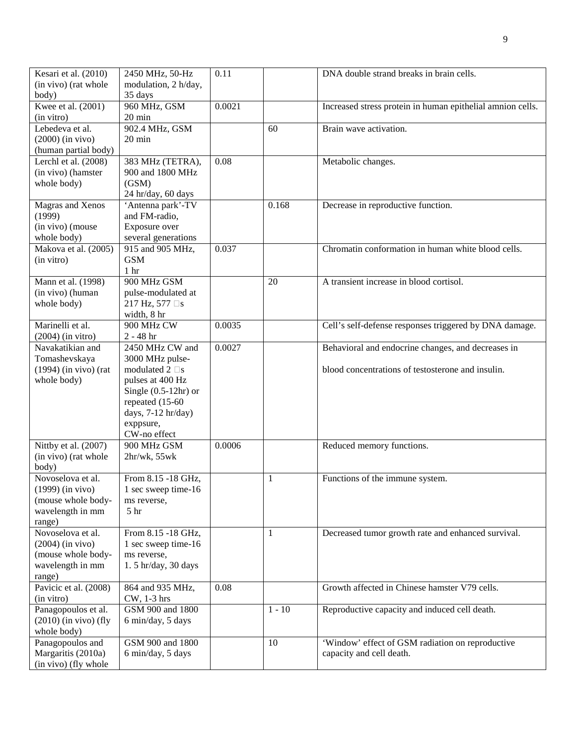| Kesari et al. (2010)    | 2450 MHz, 50-Hz                      | 0.11   |              | DNA double strand breaks in brain cells.                   |
|-------------------------|--------------------------------------|--------|--------------|------------------------------------------------------------|
| (in vivo) (rat whole    | modulation, 2 h/day,                 |        |              |                                                            |
| body)                   | 35 days                              |        |              |                                                            |
| Kwee et al. (2001)      | 960 MHz, GSM                         | 0.0021 |              | Increased stress protein in human epithelial amnion cells. |
| (in vitro)              | $20 \text{ min}$                     |        |              |                                                            |
| Lebedeva et al.         | 902.4 MHz, GSM                       |        | 60           | Brain wave activation.                                     |
| $(2000)$ (in vivo)      | $20 \text{ min}$                     |        |              |                                                            |
| (human partial body)    |                                      |        |              |                                                            |
| Lerchl et al. (2008)    |                                      | 0.08   |              |                                                            |
|                         | 383 MHz (TETRA),<br>900 and 1800 MHz |        |              | Metabolic changes.                                         |
| (in vivo) (hamster      |                                      |        |              |                                                            |
| whole body)             | (GSM)                                |        |              |                                                            |
|                         | 24 hr/day, 60 days                   |        |              |                                                            |
| Magras and Xenos        | 'Antenna park'-TV                    |        | 0.168        | Decrease in reproductive function.                         |
| (1999)                  | and FM-radio,                        |        |              |                                                            |
| (in vivo) (mouse        | Exposure over                        |        |              |                                                            |
| whole body)             | several generations                  |        |              |                                                            |
| Makova et al. (2005)    | 915 and 905 MHz,                     | 0.037  |              | Chromatin conformation in human white blood cells.         |
| (in vitro)              | <b>GSM</b>                           |        |              |                                                            |
|                         | 1 <sub>hr</sub>                      |        |              |                                                            |
| Mann et al. (1998)      | 900 MHz GSM                          |        | 20           | A transient increase in blood cortisol.                    |
| (in vivo) (human        | pulse-modulated at                   |        |              |                                                            |
| whole body)             | 217 Hz, 577 s                        |        |              |                                                            |
|                         | width, 8 hr                          |        |              |                                                            |
| Marinelli et al.        | 900 MHz CW                           | 0.0035 |              | Cell's self-defense responses triggered by DNA damage.     |
| $(2004)$ (in vitro)     | $2 - 48$ hr                          |        |              |                                                            |
| Navakatikian and        | 2450 MHz CW and                      | 0.0027 |              | Behavioral and endocrine changes, and decreases in         |
| Tomashevskaya           | 3000 MHz pulse-                      |        |              |                                                            |
| $(1994)$ (in vivo) (rat | modulated 2 s                        |        |              | blood concentrations of testosterone and insulin.          |
| whole body)             | pulses at 400 Hz                     |        |              |                                                            |
|                         | Single $(0.5-12hr)$ or               |        |              |                                                            |
|                         | repeated (15-60                      |        |              |                                                            |
|                         | days, 7-12 hr/day)                   |        |              |                                                            |
|                         | exppsure,                            |        |              |                                                            |
|                         | CW-no effect                         |        |              |                                                            |
| Nittby et al. (2007)    | 900 MHz GSM                          | 0.0006 |              | Reduced memory functions.                                  |
| (in vivo) (rat whole    | 2hr/wk, 55wk                         |        |              |                                                            |
| body)                   |                                      |        |              |                                                            |
| Novoselova et al.       | From 8.15 -18 GHz,                   |        | $\mathbf{1}$ | Functions of the immune system.                            |
| $(1999)$ (in vivo)      | 1 sec sweep time-16                  |        |              |                                                            |
| (mouse whole body-      | ms reverse,                          |        |              |                                                            |
| wavelength in mm        | 5 <sup>hr</sup>                      |        |              |                                                            |
| range)                  |                                      |        |              |                                                            |
| Novoselova et al.       | From 8.15 -18 GHz,                   |        | 1            | Decreased tumor growth rate and enhanced survival.         |
| $(2004)$ (in vivo)      | 1 sec sweep time-16                  |        |              |                                                            |
| (mouse whole body-      | ms reverse,                          |        |              |                                                            |
|                         | 1.5 hr/day, 30 days                  |        |              |                                                            |
| wavelength in mm        |                                      |        |              |                                                            |
| range)                  |                                      |        |              |                                                            |
| Pavicic et al. (2008)   | 864 and 935 MHz,                     | 0.08   |              | Growth affected in Chinese hamster V79 cells.              |
| (in vitro)              | CW, 1-3 hrs                          |        |              |                                                            |
| Panagopoulos et al.     | GSM 900 and 1800                     |        | $1 - 10$     | Reproductive capacity and induced cell death.              |
| $(2010)$ (in vivo) (fly | 6 min/day, 5 days                    |        |              |                                                            |
| whole body)             |                                      |        |              |                                                            |
| Panagopoulos and        | GSM 900 and 1800                     |        | 10           | 'Window' effect of GSM radiation on reproductive           |
| Margaritis (2010a)      | 6 min/day, 5 days                    |        |              | capacity and cell death.                                   |
| (in vivo) (fly whole    |                                      |        |              |                                                            |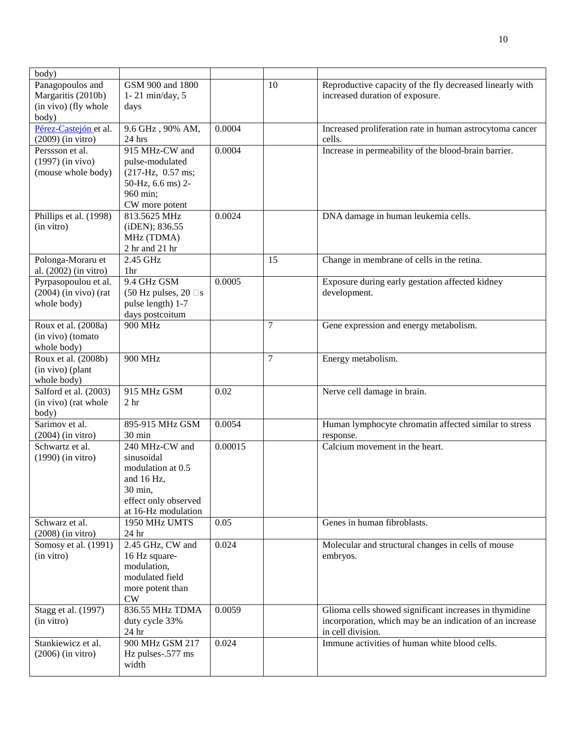| body)                   |                                        |         |                |                                                          |
|-------------------------|----------------------------------------|---------|----------------|----------------------------------------------------------|
| Panagopoulos and        | GSM 900 and 1800                       |         | 10             | Reproductive capacity of the fly decreased linearly with |
| Margaritis (2010b)      | $1 - 21$ min/day, 5                    |         |                | increased duration of exposure.                          |
| (in vivo) (fly whole    | days                                   |         |                |                                                          |
| body)                   |                                        |         |                |                                                          |
| Pérez-Castejón et al.   | 9.6 GHz, 90% AM,                       | 0.0004  |                | Increased proliferation rate in human astrocytoma cancer |
| $(2009)$ (in vitro)     | 24 hrs                                 |         |                | cells.                                                   |
| Perssson et al.         | 915 MHz-CW and                         | 0.0004  |                | Increase in permeability of the blood-brain barrier.     |
| $(1997)$ (in vivo)      | pulse-modulated                        |         |                |                                                          |
| (mouse whole body)      | $(217-Hz, 0.57$ ms;                    |         |                |                                                          |
|                         | 50-Hz, 6.6 ms) 2-                      |         |                |                                                          |
|                         | 960 min;                               |         |                |                                                          |
|                         | CW more potent                         |         |                |                                                          |
| Phillips et al. (1998)  | 813.5625 MHz                           | 0.0024  |                | DNA damage in human leukemia cells.                      |
| (in vitro)              | (iDEN); 836.55                         |         |                |                                                          |
|                         | MHz (TDMA)                             |         |                |                                                          |
|                         | 2 hr and 21 hr                         |         |                |                                                          |
| Polonga-Moraru et       | 2.45 GHz                               |         | 15             | Change in membrane of cells in the retina.               |
| al. (2002) (in vitro)   | 1 <sub>hr</sub>                        |         |                |                                                          |
| Pyrpasopoulou et al.    | 9.4 GHz GSM                            | 0.0005  |                | Exposure during early gestation affected kidney          |
| $(2004)$ (in vivo) (rat | $(50 \text{ Hz pulses}, 20 \text{ s})$ |         |                | development.                                             |
| whole body)             | pulse length) 1-7                      |         |                |                                                          |
|                         | days postcoitum                        |         |                |                                                          |
| Roux et al. (2008a)     | 900 MHz                                |         | 7              | Gene expression and energy metabolism.                   |
| (in vivo) (tomato       |                                        |         |                |                                                          |
| whole body)             |                                        |         |                |                                                          |
| Roux et al. (2008b)     | 900 MHz                                |         | $\overline{7}$ | Energy metabolism.                                       |
| (in vivo) (plant        |                                        |         |                |                                                          |
| whole body)             |                                        |         |                |                                                          |
| Salford et al. (2003)   | 915 MHz GSM                            | 0.02    |                | Nerve cell damage in brain.                              |
| (in vivo) (rat whole    | 2 <sub>hr</sub>                        |         |                |                                                          |
| body)                   |                                        |         |                |                                                          |
| Sarimov et al.          | 895-915 MHz GSM                        | 0.0054  |                | Human lymphocyte chromatin affected similar to stress    |
| $(2004)$ (in vitro)     | 30 min                                 |         |                | response.                                                |
| Schwartz et al.         | 240 MHz-CW and                         | 0.00015 |                | Calcium movement in the heart.                           |
| $(1990)$ (in vitro)     | sinusoidal                             |         |                |                                                          |
|                         | modulation at 0.5                      |         |                |                                                          |
|                         | and 16 Hz,                             |         |                |                                                          |
|                         | 30 min,                                |         |                |                                                          |
|                         | effect only observed                   |         |                |                                                          |
| Schwarz et al.          | at 16-Hz modulation<br>1950 MHz UMTS   | 0.05    |                | Genes in human fibroblasts.                              |
| $(2008)$ (in vitro)     | 24 hr                                  |         |                |                                                          |
| Somosy et al. (1991)    | 2.45 GHz, CW and                       | 0.024   |                | Molecular and structural changes in cells of mouse       |
| (in vitro)              | 16 Hz square-                          |         |                | embryos.                                                 |
|                         | modulation,                            |         |                |                                                          |
|                         | modulated field                        |         |                |                                                          |
|                         | more potent than                       |         |                |                                                          |
|                         | CW                                     |         |                |                                                          |
| Stagg et al. (1997)     | 836.55 MHz TDMA                        | 0.0059  |                | Glioma cells showed significant increases in thymidine   |
| (in vitro)              | duty cycle 33%                         |         |                | incorporation, which may be an indication of an increase |
|                         | 24 hr                                  |         |                | in cell division.                                        |
| Stankiewicz et al.      | 900 MHz GSM 217                        | 0.024   |                | Immune activities of human white blood cells.            |
| $(2006)$ (in vitro)     | Hz pulses-.577 ms                      |         |                |                                                          |
|                         | width                                  |         |                |                                                          |
|                         |                                        |         |                |                                                          |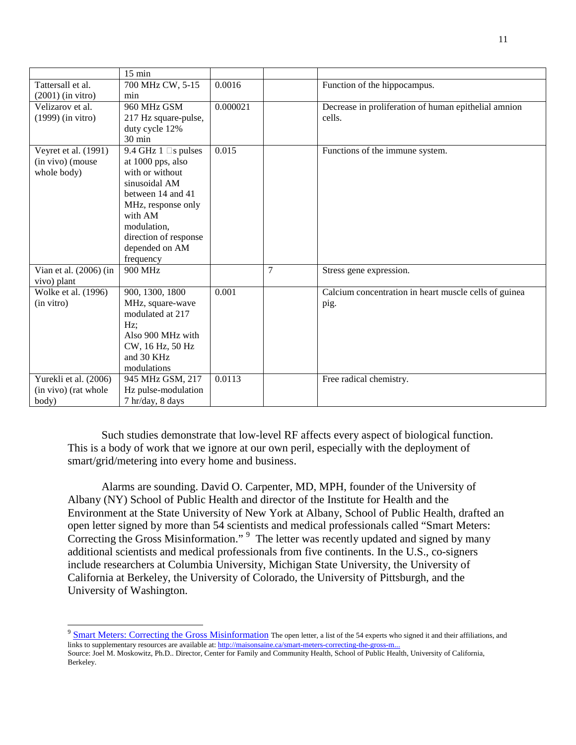|                          | $15 \text{ min}$      |          |                |                                                       |
|--------------------------|-----------------------|----------|----------------|-------------------------------------------------------|
| Tattersall et al.        | 700 MHz CW, 5-15      | 0.0016   |                | Function of the hippocampus.                          |
| $(2001)$ (in vitro)      | min                   |          |                |                                                       |
| Velizarov et al.         | 960 MHz GSM           | 0.000021 |                | Decrease in proliferation of human epithelial amnion  |
| $(1999)$ (in vitro)      | 217 Hz square-pulse,  |          |                | cells.                                                |
|                          | duty cycle 12%        |          |                |                                                       |
|                          | 30 min                |          |                |                                                       |
| Veyret et al. (1991)     | 9.4 GHz 1<br>s pulses | 0.015    |                | Functions of the immune system.                       |
| (in vivo) (mouse         | at 1000 pps, also     |          |                |                                                       |
| whole body)              | with or without       |          |                |                                                       |
|                          | sinusoidal AM         |          |                |                                                       |
|                          | between 14 and 41     |          |                |                                                       |
|                          | MHz, response only    |          |                |                                                       |
|                          | with AM               |          |                |                                                       |
|                          | modulation,           |          |                |                                                       |
|                          | direction of response |          |                |                                                       |
|                          | depended on AM        |          |                |                                                       |
|                          | frequency             |          |                |                                                       |
| Vian et al. $(2006)$ (in | 900 MHz               |          | $\overline{7}$ | Stress gene expression.                               |
| vivo) plant              |                       |          |                |                                                       |
| Wolke et al. (1996)      | 900, 1300, 1800       | 0.001    |                | Calcium concentration in heart muscle cells of guinea |
| (in vitro)               | MHz, square-wave      |          |                | pig.                                                  |
|                          | modulated at 217      |          |                |                                                       |
|                          | $Hz$ :                |          |                |                                                       |
|                          | Also 900 MHz with     |          |                |                                                       |
|                          | CW, 16 Hz, 50 Hz      |          |                |                                                       |
|                          | and 30 KHz            |          |                |                                                       |
|                          | modulations           |          |                |                                                       |
| Yurekli et al. (2006)    | 945 MHz GSM, 217      | 0.0113   |                | Free radical chemistry.                               |
| (in vivo) (rat whole     | Hz pulse-modulation   |          |                |                                                       |
| body)                    | 7 hr/day, 8 days      |          |                |                                                       |

 Such studies demonstrate that low-level RF affects every aspect of biological function. This is a body of work that we ignore at our own peril, especially with the deployment of smart/grid/metering into every home and business.

 Alarms are sounding. David O. Carpenter, MD, MPH, founder of the University of Albany (NY) School of Public Health and director of the Institute for Health and the Environment at the State University of New York at Albany, School of Public Health, drafted an open letter signed by more than 54 scientists and medical professionals called "Smart Meters: Correcting the Gross Misinformation." <sup>9</sup> The letter was recently updated and signed by many additional scientists and medical professionals from five continents. In the U.S., co-signers include researchers at Columbia University, Michigan State University, the University of California at Berkeley, the University of Colorado, the University of Pittsburgh, and the University of Washington.

<sup>&</sup>lt;sup>9</sup> Smart Meters: Correcting the Gross Misinformation The open letter, a list of the 54 experts who signed it and their affiliations, and links to supplementary resources are available at: http://maisonsaine.ca/smart-meters-correcting-the-gross-m.

Source: Joel M. Moskowitz, Ph.D.. Director, Center for Family and Community Health, School of Public Health, University of California, Berkeley.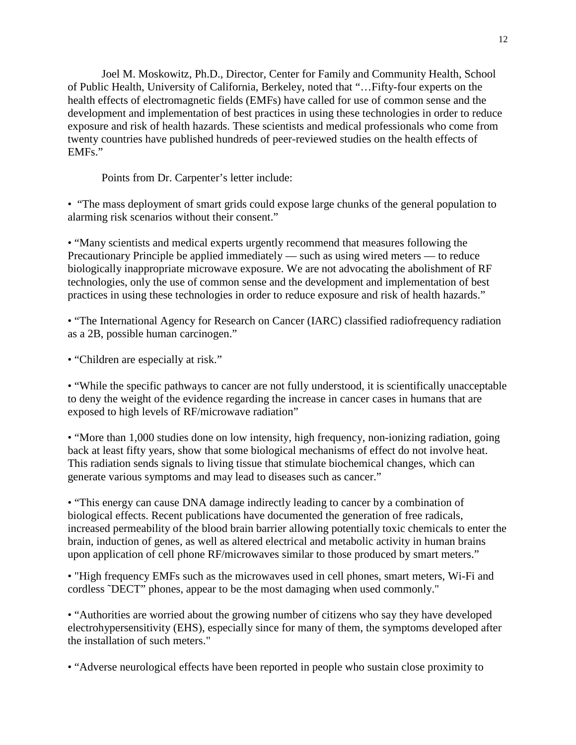Joel M. Moskowitz, Ph.D., Director, Center for Family and Community Health, School of Public Health, University of California, Berkeley, noted that "…Fifty-four experts on the health effects of electromagnetic fields (EMFs) have called for use of common sense and the development and implementation of best practices in using these technologies in order to reduce exposure and risk of health hazards. These scientists and medical professionals who come from twenty countries have published hundreds of peer-reviewed studies on the health effects of EMFs."

Points from Dr. Carpenter's letter include:

• "The mass deployment of smart grids could expose large chunks of the general population to alarming risk scenarios without their consent."

• "Many scientists and medical experts urgently recommend that measures following the Precautionary Principle be applied immediately — such as using wired meters — to reduce biologically inappropriate microwave exposure. We are not advocating the abolishment of RF technologies, only the use of common sense and the development and implementation of best practices in using these technologies in order to reduce exposure and risk of health hazards."

• "The International Agency for Research on Cancer (IARC) classified radiofrequency radiation as a 2B, possible human carcinogen."

• "Children are especially at risk."

• "While the specific pathways to cancer are not fully understood, it is scientifically unacceptable to deny the weight of the evidence regarding the increase in cancer cases in humans that are exposed to high levels of RF/microwave radiation"

• "More than 1,000 studies done on low intensity, high frequency, non-ionizing radiation, going back at least fifty years, show that some biological mechanisms of effect do not involve heat. This radiation sends signals to living tissue that stimulate biochemical changes, which can generate various symptoms and may lead to diseases such as cancer."

• "This energy can cause DNA damage indirectly leading to cancer by a combination of biological effects. Recent publications have documented the generation of free radicals, increased permeability of the blood brain barrier allowing potentially toxic chemicals to enter the brain, induction of genes, as well as altered electrical and metabolic activity in human brains upon application of cell phone RF/microwaves similar to those produced by smart meters."

• "High frequency EMFs such as the microwaves used in cell phones, smart meters, Wi-Fi and cordless ˜DECT" phones, appear to be the most damaging when used commonly."

• "Authorities are worried about the growing number of citizens who say they have developed electrohypersensitivity (EHS), especially since for many of them, the symptoms developed after the installation of such meters."

• "Adverse neurological effects have been reported in people who sustain close proximity to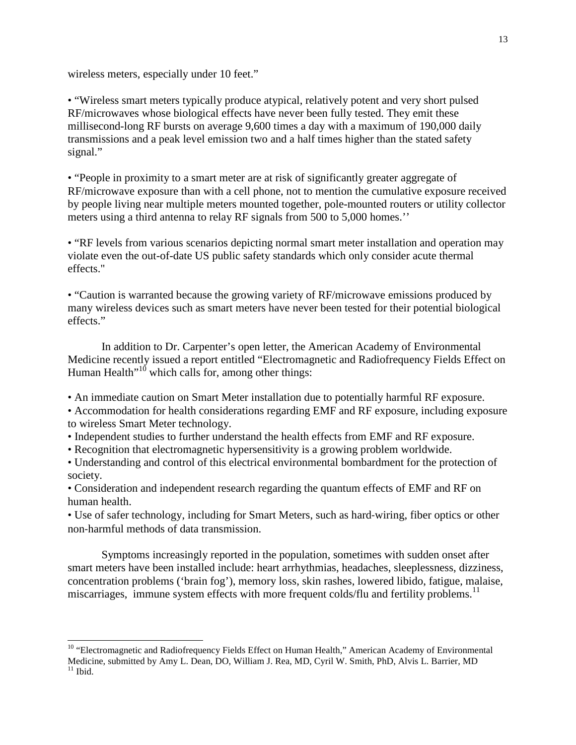wireless meters, especially under 10 feet."

-

• "Wireless smart meters typically produce atypical, relatively potent and very short pulsed RF/microwaves whose biological effects have never been fully tested. They emit these millisecond-long RF bursts on average 9,600 times a day with a maximum of 190,000 daily transmissions and a peak level emission two and a half times higher than the stated safety signal."

• "People in proximity to a smart meter are at risk of significantly greater aggregate of RF/microwave exposure than with a cell phone, not to mention the cumulative exposure received by people living near multiple meters mounted together, pole-mounted routers or utility collector meters using a third antenna to relay RF signals from 500 to 5,000 homes.''

• "RF levels from various scenarios depicting normal smart meter installation and operation may violate even the out-of-date US public safety standards which only consider acute thermal effects."

• "Caution is warranted because the growing variety of RF/microwave emissions produced by many wireless devices such as smart meters have never been tested for their potential biological effects."

 In addition to Dr. Carpenter's open letter, the American Academy of Environmental Medicine recently issued a report entitled "Electromagnetic and Radiofrequency Fields Effect on Human Health"<sup>10</sup> which calls for, among other things:

• An immediate caution on Smart Meter installation due to potentially harmful RF exposure.

• Accommodation for health considerations regarding EMF and RF exposure, including exposure to wireless Smart Meter technology.

• Independent studies to further understand the health effects from EMF and RF exposure.

• Recognition that electromagnetic hypersensitivity is a growing problem worldwide.

• Understanding and control of this electrical environmental bombardment for the protection of society.

• Consideration and independent research regarding the quantum effects of EMF and RF on human health.

• Use of safer technology, including for Smart Meters, such as hard-wiring, fiber optics or other non-harmful methods of data transmission.

 Symptoms increasingly reported in the population, sometimes with sudden onset after smart meters have been installed include: heart arrhythmias, headaches, sleeplessness, dizziness, concentration problems ('brain fog'), memory loss, skin rashes, lowered libido, fatigue, malaise, miscarriages, immune system effects with more frequent colds/flu and fertility problems.<sup>11</sup>

<sup>&</sup>lt;sup>10</sup> "Electromagnetic and Radiofrequency Fields Effect on Human Health," American Academy of Environmental Medicine, submitted by Amy L. Dean, DO, William J. Rea, MD, Cyril W. Smith, PhD, Alvis L. Barrier, MD  $11$  Ibid.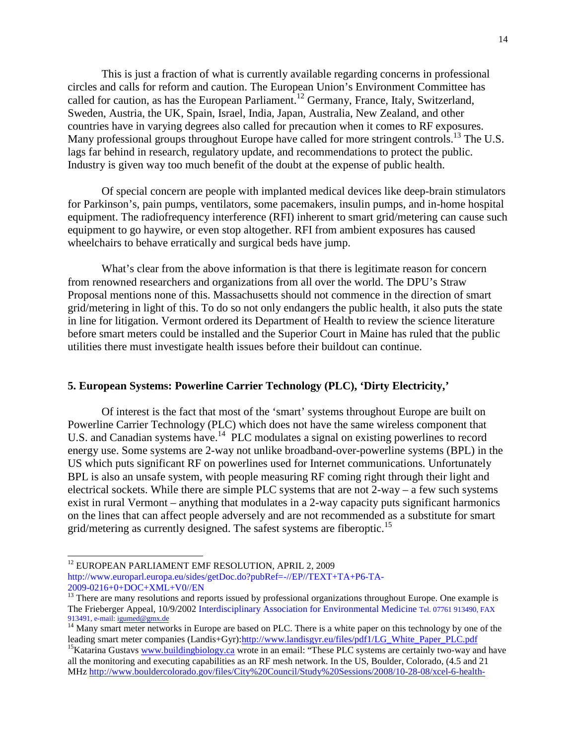This is just a fraction of what is currently available regarding concerns in professional circles and calls for reform and caution. The European Union's Environment Committee has called for caution, as has the European Parliament.<sup>12</sup> Germany, France, Italy, Switzerland, Sweden, Austria, the UK, Spain, Israel, India, Japan, Australia, New Zealand, and other countries have in varying degrees also called for precaution when it comes to RF exposures. Many professional groups throughout Europe have called for more stringent controls.<sup>13</sup> The U.S. lags far behind in research, regulatory update, and recommendations to protect the public. Industry is given way too much benefit of the doubt at the expense of public health.

 Of special concern are people with implanted medical devices like deep-brain stimulators for Parkinson's, pain pumps, ventilators, some pacemakers, insulin pumps, and in-home hospital equipment. The radiofrequency interference (RFI) inherent to smart grid/metering can cause such equipment to go haywire, or even stop altogether. RFI from ambient exposures has caused wheelchairs to behave erratically and surgical beds have jump.

 What's clear from the above information is that there is legitimate reason for concern from renowned researchers and organizations from all over the world. The DPU's Straw Proposal mentions none of this. Massachusetts should not commence in the direction of smart grid/metering in light of this. To do so not only endangers the public health, it also puts the state in line for litigation. Vermont ordered its Department of Health to review the science literature before smart meters could be installed and the Superior Court in Maine has ruled that the public utilities there must investigate health issues before their buildout can continue.

#### **5. European Systems: Powerline Carrier Technology (PLC), 'Dirty Electricity,'**

 Of interest is the fact that most of the 'smart' systems throughout Europe are built on Powerline Carrier Technology (PLC) which does not have the same wireless component that U.S. and Canadian systems have.<sup>14</sup> PLC modulates a signal on existing powerlines to record energy use. Some systems are 2-way not unlike broadband-over-powerline systems (BPL) in the US which puts significant RF on powerlines used for Internet communications. Unfortunately BPL is also an unsafe system, with people measuring RF coming right through their light and electrical sockets. While there are simple PLC systems that are not 2-way – a few such systems exist in rural Vermont – anything that modulates in a 2-way capacity puts significant harmonics on the lines that can affect people adversely and are not recommended as a substitute for smart grid/metering as currently designed. The safest systems are fiberoptic.<sup>15</sup>

1

<sup>&</sup>lt;sup>12</sup> EUROPEAN PARLIAMENT EMF RESOLUTION, APRIL 2, 2009

http://www.europarl.europa.eu/sides/getDoc.do?pubRef=-//EP//TEXT+TA+P6-TA-2009-0216+0+DOC+XML+V0//EN

<sup>&</sup>lt;sup>13</sup> There are many resolutions and reports issued by professional organizations throughout Europe. One example is The Frieberger Appeal, 10/9/2002 Interdisciplinary Association for Environmental Medicine Tel. 07761 913490, FAX 913491, e-mail: igumed@gmx.de

<sup>&</sup>lt;sup>14</sup> Many smart meter networks in Europe are based on PLC. There is a white paper on this technology by one of the leading smart meter companies (Landis+Gyr):http://www.landisgyr.eu/files/pdf1/LG\_White\_Paper\_PLC.pdf

<sup>&</sup>lt;sup>15</sup>Katarina Gustavs www.buildingbiology.ca wrote in an email: "These PLC systems are certainly two-way and have all the monitoring and executing capabilities as an RF mesh network. In the US, Boulder, Colorado, (4.5 and 21 MHz http://www.bouldercolorado.gov/files/City%20Council/Study%20Sessions/2008/10-28-08/xcel-6-health-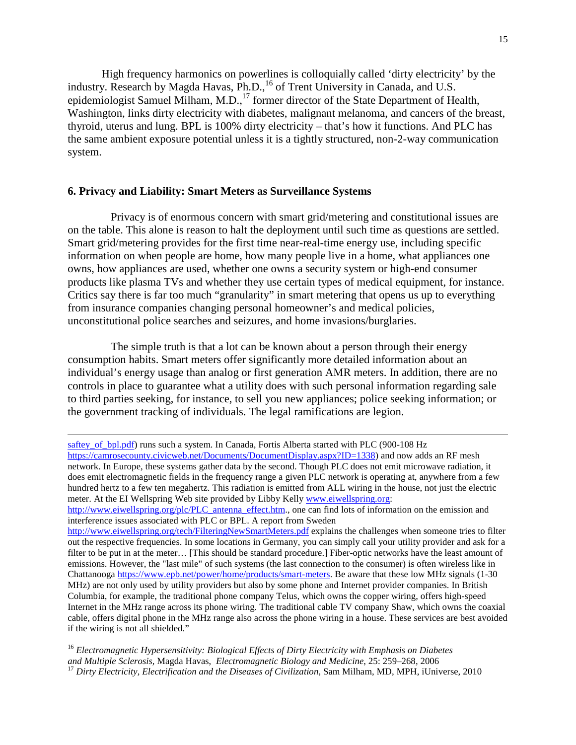High frequency harmonics on powerlines is colloquially called 'dirty electricity' by the industry. Research by Magda Havas, Ph.D.,<sup>16</sup> of Trent University in Canada, and U.S. epidemiologist Samuel Milham, M.D.,<sup>17</sup> former director of the State Department of Health, Washington, links dirty electricity with diabetes, malignant melanoma, and cancers of the breast, thyroid, uterus and lung. BPL is 100% dirty electricity – that's how it functions. And PLC has the same ambient exposure potential unless it is a tightly structured, non-2-way communication system.

#### **6. Privacy and Liability: Smart Meters as Surveillance Systems**

1

Privacy is of enormous concern with smart grid/metering and constitutional issues are on the table. This alone is reason to halt the deployment until such time as questions are settled. Smart grid/metering provides for the first time near-real-time energy use, including specific information on when people are home, how many people live in a home, what appliances one owns, how appliances are used, whether one owns a security system or high-end consumer products like plasma TVs and whether they use certain types of medical equipment, for instance. Critics say there is far too much "granularity" in smart metering that opens us up to everything from insurance companies changing personal homeowner's and medical policies, unconstitutional police searches and seizures, and home invasions/burglaries.

 The simple truth is that a lot can be known about a person through their energy consumption habits. Smart meters offer significantly more detailed information about an individual's energy usage than analog or first generation AMR meters. In addition, there are no controls in place to guarantee what a utility does with such personal information regarding sale to third parties seeking, for instance, to sell you new appliances; police seeking information; or the government tracking of individuals. The legal ramifications are legion.

saftey\_of\_bpl.pdf) runs such a system. In Canada, Fortis Alberta started with PLC (900-108 Hz https://camrosecounty.civicweb.net/Documents/DocumentDisplay.aspx?ID=1338) and now adds an RF mesh network. In Europe, these systems gather data by the second. Though PLC does not emit microwave radiation, it does emit electromagnetic fields in the frequency range a given PLC network is operating at, anywhere from a few hundred hertz to a few ten megahertz. This radiation is emitted from ALL wiring in the house, not just the electric meter. At the EI Wellspring Web site provided by Libby Kelly www.eiwellspring.org:

http://www.eiwellspring.org/plc/PLC\_antenna\_effect.htm., one can find lots of information on the emission and interference issues associated with PLC or BPL. A report from Sweden

http://www.eiwellspring.org/tech/FilteringNewSmartMeters.pdf explains the challenges when someone tries to filter out the respective frequencies. In some locations in Germany, you can simply call your utility provider and ask for a filter to be put in at the meter… [This should be standard procedure.] Fiber-optic networks have the least amount of emissions. However, the "last mile" of such systems (the last connection to the consumer) is often wireless like in Chattanooga https://www.epb.net/power/home/products/smart-meters. Be aware that these low MHz signals (1-30 MHz) are not only used by utility providers but also by some phone and Internet provider companies. In British Columbia, for example, the traditional phone company Telus, which owns the copper wiring, offers high-speed Internet in the MHz range across its phone wiring. The traditional cable TV company Shaw, which owns the coaxial cable, offers digital phone in the MHz range also across the phone wiring in a house. These services are best avoided if the wiring is not all shielded."

<sup>16</sup> *Electromagnetic Hypersensitivity: Biological Effects of Dirty Electricity with Emphasis on Diabetes and Multiple Sclerosis,* Magda Havas, *Electromagnetic Biology and Medicine*, 25: 259–268, 2006 <sup>17</sup> *Dirty Electricity, Electrification and the Diseases of Civilization, Sam Milham, MD, MPH, iUniverse, 2010*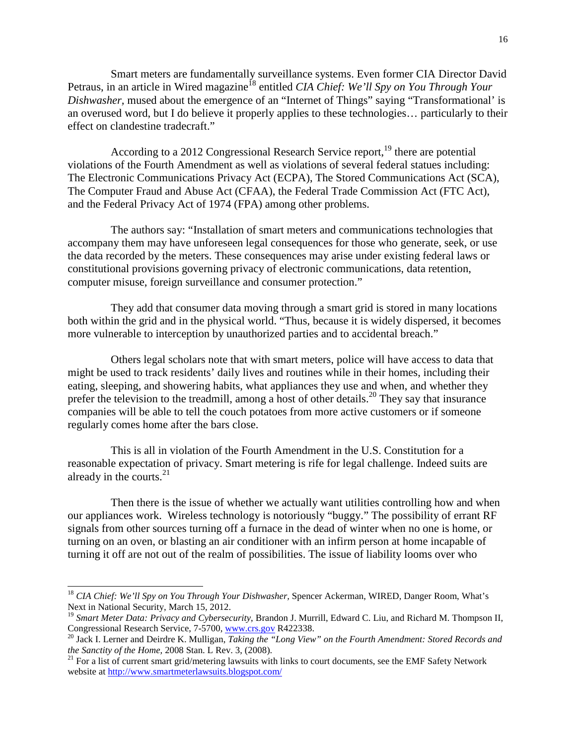Smart meters are fundamentally surveillance systems. Even former CIA Director David Petraus, in an article in Wired magazine<sup>18</sup> entitled *CIA Chief: We'll Spy on You Through Your Dishwasher,* mused about the emergence of an "Internet of Things" saying "Transformational' is an overused word, but I do believe it properly applies to these technologies… particularly to their effect on clandestine tradecraft."

According to a 2012 Congressional Research Service report,  $^{19}$  there are potential violations of the Fourth Amendment as well as violations of several federal statues including: The Electronic Communications Privacy Act (ECPA), The Stored Communications Act (SCA), The Computer Fraud and Abuse Act (CFAA), the Federal Trade Commission Act (FTC Act), and the Federal Privacy Act of 1974 (FPA) among other problems.

 The authors say: "Installation of smart meters and communications technologies that accompany them may have unforeseen legal consequences for those who generate, seek, or use the data recorded by the meters. These consequences may arise under existing federal laws or constitutional provisions governing privacy of electronic communications, data retention, computer misuse, foreign surveillance and consumer protection."

 They add that consumer data moving through a smart grid is stored in many locations both within the grid and in the physical world. "Thus, because it is widely dispersed, it becomes more vulnerable to interception by unauthorized parties and to accidental breach."

 Others legal scholars note that with smart meters, police will have access to data that might be used to track residents' daily lives and routines while in their homes, including their eating, sleeping, and showering habits, what appliances they use and when, and whether they prefer the television to the treadmill, among a host of other details.<sup>20</sup> They say that insurance companies will be able to tell the couch potatoes from more active customers or if someone regularly comes home after the bars close.

 This is all in violation of the Fourth Amendment in the U.S. Constitution for a reasonable expectation of privacy. Smart metering is rife for legal challenge. Indeed suits are already in the courts. $21$ 

 Then there is the issue of whether we actually want utilities controlling how and when our appliances work. Wireless technology is notoriously "buggy." The possibility of errant RF signals from other sources turning off a furnace in the dead of winter when no one is home, or turning on an oven, or blasting an air conditioner with an infirm person at home incapable of turning it off are not out of the realm of possibilities. The issue of liability looms over who

<sup>&</sup>lt;sup>18</sup> CIA Chief: We'll Spy on You Through Your Dishwasher, Spencer Ackerman, WIRED, Danger Room, What's Next in National Security, March 15, 2012.

<sup>19</sup> *Smart Meter Data: Privacy and Cybersecurity*, Brandon J. Murrill, Edward C. Liu, and Richard M. Thompson II, Congressional Research Service, 7-5700, www.crs.gov R422338.

<sup>20</sup> Jack I. Lerner and Deirdre K. Mulligan, *Taking the "Long View" on the Fourth Amendment: Stored Records and the Sanctity of the Home,* 2008 Stan. L Rev. 3, (2008).

 $21$  For a list of current smart grid/metering lawsuits with links to court documents, see the EMF Safety Network website at http://www.smartmeterlawsuits.blogspot.com/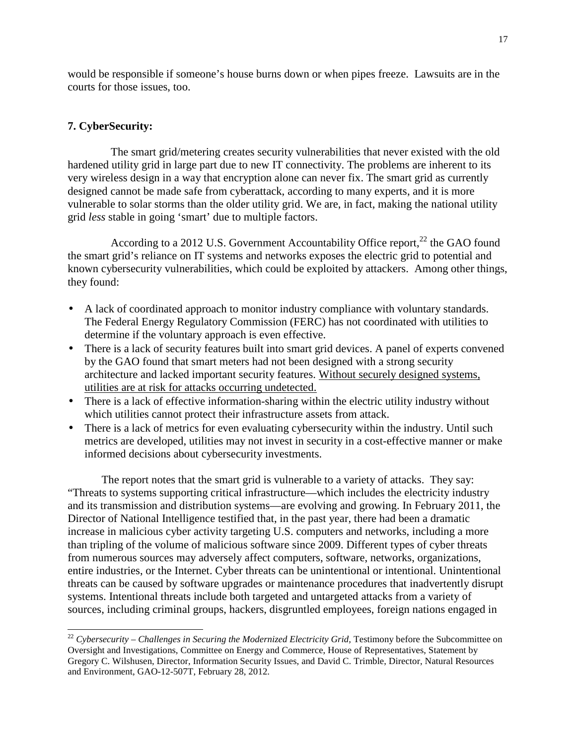would be responsible if someone's house burns down or when pipes freeze. Lawsuits are in the courts for those issues, too.

# **7. CyberSecurity:**

1

 The smart grid/metering creates security vulnerabilities that never existed with the old hardened utility grid in large part due to new IT connectivity. The problems are inherent to its very wireless design in a way that encryption alone can never fix. The smart grid as currently designed cannot be made safe from cyberattack, according to many experts, and it is more vulnerable to solar storms than the older utility grid. We are, in fact, making the national utility grid *less* stable in going 'smart' due to multiple factors.

According to a 2012 U.S. Government Accountability Office report,<sup>22</sup> the GAO found the smart grid's reliance on IT systems and networks exposes the electric grid to potential and known cybersecurity vulnerabilities, which could be exploited by attackers. Among other things, they found:

- A lack of coordinated approach to monitor industry compliance with voluntary standards. The Federal Energy Regulatory Commission (FERC) has not coordinated with utilities to determine if the voluntary approach is even effective.
- There is a lack of security features built into smart grid devices. A panel of experts convened by the GAO found that smart meters had not been designed with a strong security architecture and lacked important security features. Without securely designed systems, utilities are at risk for attacks occurring undetected.
- There is a lack of effective information-sharing within the electric utility industry without which utilities cannot protect their infrastructure assets from attack.
- There is a lack of metrics for even evaluating cybersecurity within the industry. Until such metrics are developed, utilities may not invest in security in a cost-effective manner or make informed decisions about cybersecurity investments.

 The report notes that the smart grid is vulnerable to a variety of attacks. They say: "Threats to systems supporting critical infrastructure—which includes the electricity industry and its transmission and distribution systems—are evolving and growing. In February 2011, the Director of National Intelligence testified that, in the past year, there had been a dramatic increase in malicious cyber activity targeting U.S. computers and networks, including a more than tripling of the volume of malicious software since 2009. Different types of cyber threats from numerous sources may adversely affect computers, software, networks, organizations, entire industries, or the Internet. Cyber threats can be unintentional or intentional. Unintentional threats can be caused by software upgrades or maintenance procedures that inadvertently disrupt systems. Intentional threats include both targeted and untargeted attacks from a variety of sources, including criminal groups, hackers, disgruntled employees, foreign nations engaged in

<sup>&</sup>lt;sup>22</sup> Cybersecurity – Challenges in Securing the Modernized Electricity Grid, Testimony before the Subcommittee on Oversight and Investigations, Committee on Energy and Commerce, House of Representatives, Statement by Gregory C. Wilshusen, Director, Information Security Issues, and David C. Trimble, Director, Natural Resources and Environment, GAO-12-507T, February 28, 2012.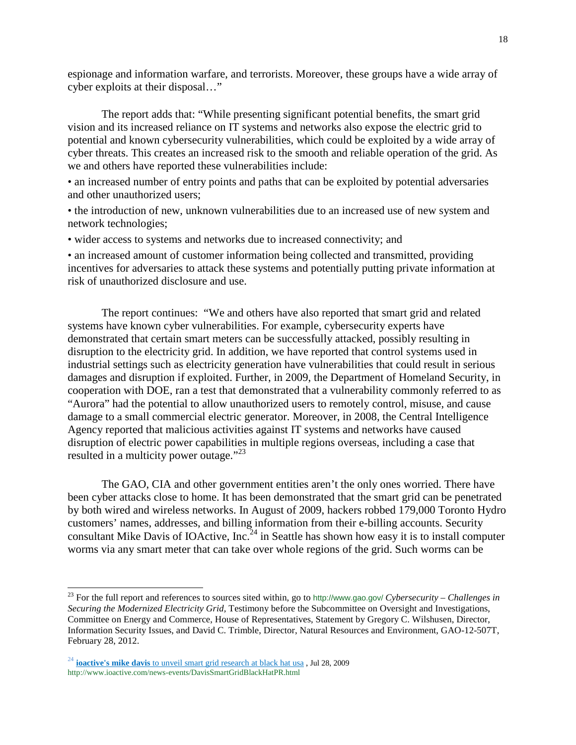espionage and information warfare, and terrorists. Moreover, these groups have a wide array of cyber exploits at their disposal…"

 The report adds that: "While presenting significant potential benefits, the smart grid vision and its increased reliance on IT systems and networks also expose the electric grid to potential and known cybersecurity vulnerabilities, which could be exploited by a wide array of cyber threats. This creates an increased risk to the smooth and reliable operation of the grid. As we and others have reported these vulnerabilities include:

• an increased number of entry points and paths that can be exploited by potential adversaries and other unauthorized users;

• the introduction of new, unknown vulnerabilities due to an increased use of new system and network technologies;

• wider access to systems and networks due to increased connectivity; and

• an increased amount of customer information being collected and transmitted, providing incentives for adversaries to attack these systems and potentially putting private information at risk of unauthorized disclosure and use.

 The report continues: "We and others have also reported that smart grid and related systems have known cyber vulnerabilities. For example, cybersecurity experts have demonstrated that certain smart meters can be successfully attacked, possibly resulting in disruption to the electricity grid. In addition, we have reported that control systems used in industrial settings such as electricity generation have vulnerabilities that could result in serious damages and disruption if exploited. Further, in 2009, the Department of Homeland Security, in cooperation with DOE, ran a test that demonstrated that a vulnerability commonly referred to as "Aurora" had the potential to allow unauthorized users to remotely control, misuse, and cause damage to a small commercial electric generator. Moreover, in 2008, the Central Intelligence Agency reported that malicious activities against IT systems and networks have caused disruption of electric power capabilities in multiple regions overseas, including a case that resulted in a multicity power outage."<sup>23</sup>

 The GAO, CIA and other government entities aren't the only ones worried. There have been cyber attacks close to home. It has been demonstrated that the smart grid can be penetrated by both wired and wireless networks. In August of 2009, hackers robbed 179,000 Toronto Hydro customers' names, addresses, and billing information from their e-billing accounts. Security consultant Mike Davis of IOActive, Inc.<sup>24</sup> in Seattle has shown how easy it is to install computer worms via any smart meter that can take over whole regions of the grid. Such worms can be

<sup>23</sup> For the full report and references to sources sited within, go to http://www.gao.gov/ *Cybersecurity – Challenges in Securing the Modernized Electricity Grid,* Testimony before the Subcommittee on Oversight and Investigations, Committee on Energy and Commerce, House of Representatives, Statement by Gregory C. Wilshusen, Director, Information Security Issues, and David C. Trimble, Director, Natural Resources and Environment, GAO-12-507T, February 28, 2012.

<sup>24</sup> **ioactive's mike davis** to unveil smart grid research at black hat usa , Jul 28, 2009 http://www.ioactive.com/news-events/DavisSmartGridBlackHatPR.html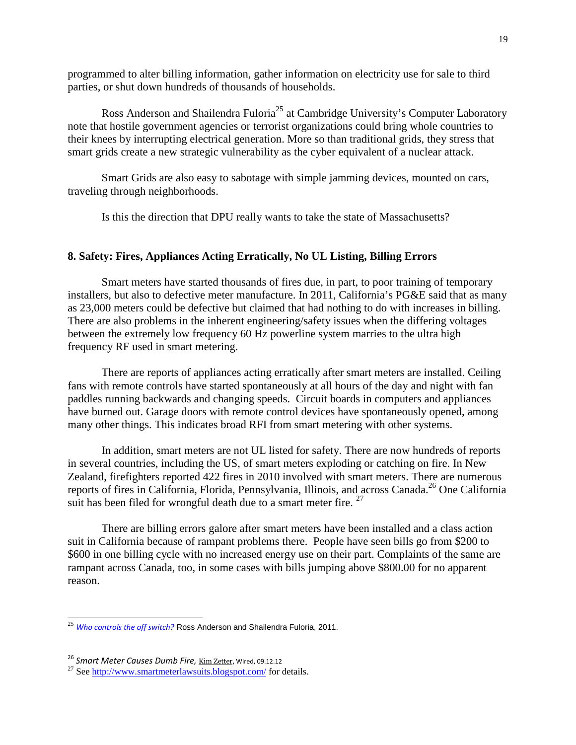programmed to alter billing information, gather information on electricity use for sale to third parties, or shut down hundreds of thousands of households.

Ross Anderson and Shailendra Fuloria<sup>25</sup> at Cambridge University's Computer Laboratory note that hostile government agencies or terrorist organizations could bring whole countries to their knees by interrupting electrical generation. More so than traditional grids, they stress that smart grids create a new strategic vulnerability as the cyber equivalent of a nuclear attack.

 Smart Grids are also easy to sabotage with simple jamming devices, mounted on cars, traveling through neighborhoods.

Is this the direction that DPU really wants to take the state of Massachusetts?

### **8. Safety: Fires, Appliances Acting Erratically, No UL Listing, Billing Errors**

 Smart meters have started thousands of fires due, in part, to poor training of temporary installers, but also to defective meter manufacture. In 2011, California's PG&E said that as many as 23,000 meters could be defective but claimed that had nothing to do with increases in billing. There are also problems in the inherent engineering/safety issues when the differing voltages between the extremely low frequency 60 Hz powerline system marries to the ultra high frequency RF used in smart metering.

There are reports of appliances acting erratically after smart meters are installed. Ceiling fans with remote controls have started spontaneously at all hours of the day and night with fan paddles running backwards and changing speeds. Circuit boards in computers and appliances have burned out. Garage doors with remote control devices have spontaneously opened, among many other things. This indicates broad RFI from smart metering with other systems.

 In addition, smart meters are not UL listed for safety. There are now hundreds of reports in several countries, including the US, of smart meters exploding or catching on fire. In New Zealand, firefighters reported 422 fires in 2010 involved with smart meters. There are numerous reports of fires in California, Florida, Pennsylvania, Illinois, and across Canada.<sup>26</sup> One California suit has been filed for wrongful death due to a smart meter fire. <sup>27</sup>

 There are billing errors galore after smart meters have been installed and a class action suit in California because of rampant problems there. People have seen bills go from \$200 to \$600 in one billing cycle with no increased energy use on their part. Complaints of the same are rampant across Canada, too, in some cases with bills jumping above \$800.00 for no apparent reason.

1

<sup>25</sup> *Who controls the off switch?* Ross Anderson and Shailendra Fuloria, 2011.

<sup>&</sup>lt;sup>26</sup> Smart Meter Causes Dumb Fire, *Kim Zetter*, Wired, 09.12.12

 $^{27}$  See http://www.smartmeterlawsuits.blogspot.com/ for details.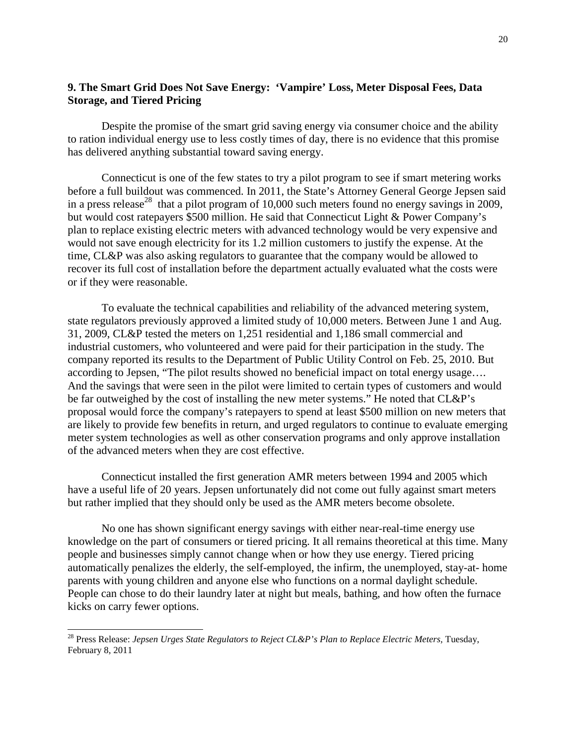## **9. The Smart Grid Does Not Save Energy: 'Vampire' Loss, Meter Disposal Fees, Data Storage, and Tiered Pricing**

Despite the promise of the smart grid saving energy via consumer choice and the ability to ration individual energy use to less costly times of day, there is no evidence that this promise has delivered anything substantial toward saving energy.

 Connecticut is one of the few states to try a pilot program to see if smart metering works before a full buildout was commenced. In 2011, the State's Attorney General George Jepsen said in a press release<sup>28</sup> that a pilot program of 10,000 such meters found no energy savings in 2009, but would cost ratepayers \$500 million. He said that Connecticut Light & Power Company's plan to replace existing electric meters with advanced technology would be very expensive and would not save enough electricity for its 1.2 million customers to justify the expense. At the time, CL&P was also asking regulators to guarantee that the company would be allowed to recover its full cost of installation before the department actually evaluated what the costs were or if they were reasonable.

 To evaluate the technical capabilities and reliability of the advanced metering system, state regulators previously approved a limited study of 10,000 meters. Between June 1 and Aug. 31, 2009, CL&P tested the meters on 1,251 residential and 1,186 small commercial and industrial customers, who volunteered and were paid for their participation in the study. The company reported its results to the Department of Public Utility Control on Feb. 25, 2010. But according to Jepsen, "The pilot results showed no beneficial impact on total energy usage…. And the savings that were seen in the pilot were limited to certain types of customers and would be far outweighed by the cost of installing the new meter systems." He noted that CL&P's proposal would force the company's ratepayers to spend at least \$500 million on new meters that are likely to provide few benefits in return, and urged regulators to continue to evaluate emerging meter system technologies as well as other conservation programs and only approve installation of the advanced meters when they are cost effective.

 Connecticut installed the first generation AMR meters between 1994 and 2005 which have a useful life of 20 years. Jepsen unfortunately did not come out fully against smart meters but rather implied that they should only be used as the AMR meters become obsolete.

 No one has shown significant energy savings with either near-real-time energy use knowledge on the part of consumers or tiered pricing. It all remains theoretical at this time. Many people and businesses simply cannot change when or how they use energy. Tiered pricing automatically penalizes the elderly, the self-employed, the infirm, the unemployed, stay-at- home parents with young children and anyone else who functions on a normal daylight schedule. People can chose to do their laundry later at night but meals, bathing, and how often the furnace kicks on carry fewer options.

1

<sup>28</sup> Press Release: *Jepsen Urges State Regulators to Reject CL&P's Plan to Replace Electric Meters,* Tuesday, February 8, 2011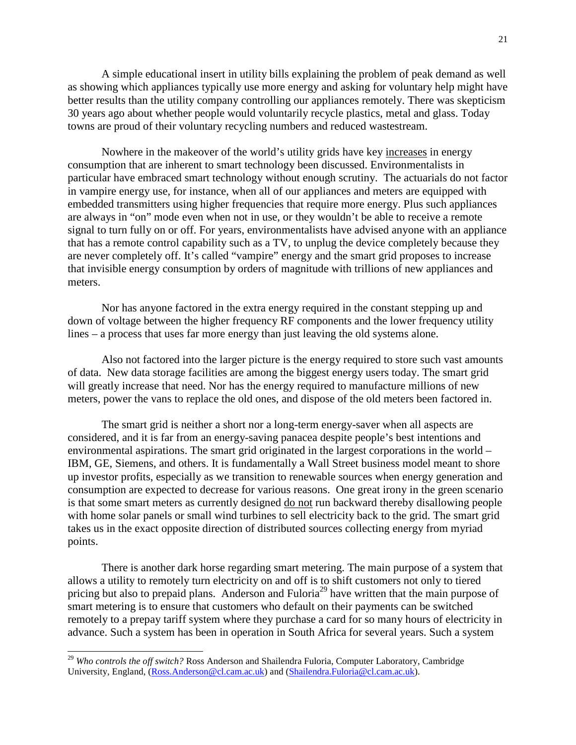A simple educational insert in utility bills explaining the problem of peak demand as well as showing which appliances typically use more energy and asking for voluntary help might have better results than the utility company controlling our appliances remotely. There was skepticism 30 years ago about whether people would voluntarily recycle plastics, metal and glass. Today towns are proud of their voluntary recycling numbers and reduced wastestream.

 Nowhere in the makeover of the world's utility grids have key increases in energy consumption that are inherent to smart technology been discussed. Environmentalists in particular have embraced smart technology without enough scrutiny. The actuarials do not factor in vampire energy use, for instance, when all of our appliances and meters are equipped with embedded transmitters using higher frequencies that require more energy. Plus such appliances are always in "on" mode even when not in use, or they wouldn't be able to receive a remote signal to turn fully on or off. For years, environmentalists have advised anyone with an appliance that has a remote control capability such as a TV, to unplug the device completely because they are never completely off. It's called "vampire" energy and the smart grid proposes to increase that invisible energy consumption by orders of magnitude with trillions of new appliances and meters.

 Nor has anyone factored in the extra energy required in the constant stepping up and down of voltage between the higher frequency RF components and the lower frequency utility lines – a process that uses far more energy than just leaving the old systems alone.

 Also not factored into the larger picture is the energy required to store such vast amounts of data. New data storage facilities are among the biggest energy users today. The smart grid will greatly increase that need. Nor has the energy required to manufacture millions of new meters, power the vans to replace the old ones, and dispose of the old meters been factored in.

 The smart grid is neither a short nor a long-term energy-saver when all aspects are considered, and it is far from an energy-saving panacea despite people's best intentions and environmental aspirations. The smart grid originated in the largest corporations in the world – IBM, GE, Siemens, and others. It is fundamentally a Wall Street business model meant to shore up investor profits, especially as we transition to renewable sources when energy generation and consumption are expected to decrease for various reasons. One great irony in the green scenario is that some smart meters as currently designed do not run backward thereby disallowing people with home solar panels or small wind turbines to sell electricity back to the grid. The smart grid takes us in the exact opposite direction of distributed sources collecting energy from myriad points.

There is another dark horse regarding smart metering. The main purpose of a system that allows a utility to remotely turn electricity on and off is to shift customers not only to tiered pricing but also to prepaid plans. Anderson and Fuloria<sup>29</sup> have written that the main purpose of smart metering is to ensure that customers who default on their payments can be switched remotely to a prepay tariff system where they purchase a card for so many hours of electricity in advance. Such a system has been in operation in South Africa for several years. Such a system

<sup>&</sup>lt;sup>29</sup> Who controls the off switch? Ross Anderson and Shailendra Fuloria, Computer Laboratory, Cambridge University, England, (Ross.Anderson@cl.cam.ac.uk) and (Shailendra.Fuloria@cl.cam.ac.uk).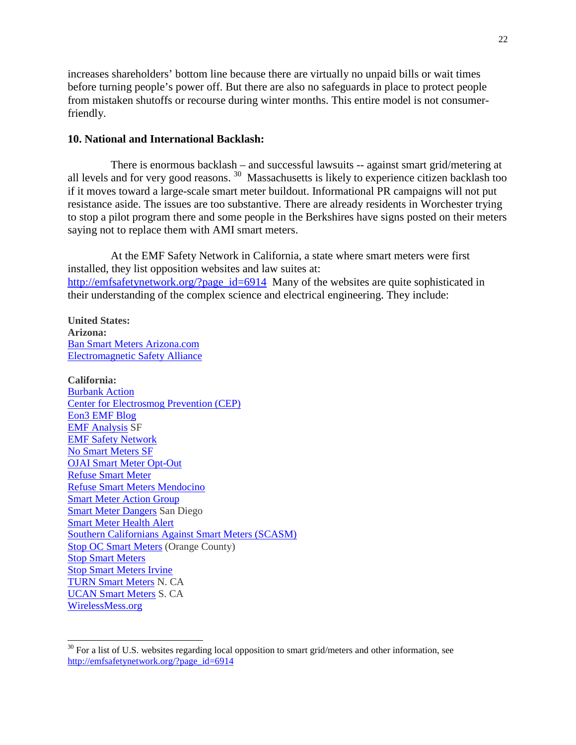increases shareholders' bottom line because there are virtually no unpaid bills or wait times before turning people's power off. But there are also no safeguards in place to protect people from mistaken shutoffs or recourse during winter months. This entire model is not consumerfriendly.

#### **10. National and International Backlash:**

 There is enormous backlash – and successful lawsuits -- against smart grid/metering at all levels and for very good reasons. <sup>30</sup> Massachusetts is likely to experience citizen backlash too if it moves toward a large-scale smart meter buildout. Informational PR campaigns will not put resistance aside. The issues are too substantive. There are already residents in Worchester trying to stop a pilot program there and some people in the Berkshires have signs posted on their meters saying not to replace them with AMI smart meters.

 At the EMF Safety Network in California, a state where smart meters were first installed, they list opposition websites and law suites at: http://emfsafetynetwork.org/?page\_id=6914 Many of the websites are quite sophisticated in their understanding of the complex science and electrical engineering. They include:

**United States: Arizona:** Ban Smart Meters Arizona.com Electromagnetic Safety Alliance

-

**California:**  Burbank Action Center for Electrosmog Prevention (CEP) Eon3 EMF Blog EMF Analysis SF EMF Safety Network No Smart Meters SF OJAI Smart Meter Opt-Out Refuse Smart Meter Refuse Smart Meters Mendocino Smart Meter Action Group Smart Meter Dangers San Diego Smart Meter Health Alert Southern Californians Against Smart Meters (SCASM) Stop OC Smart Meters (Orange County) Stop Smart Meters Stop Smart Meters Irvine TURN Smart Meters N. CA UCAN Smart Meters S. CA WirelessMess.org

 $30$  For a list of U.S. websites regarding local opposition to smart grid/meters and other information, see http://emfsafetynetwork.org/?page\_id=6914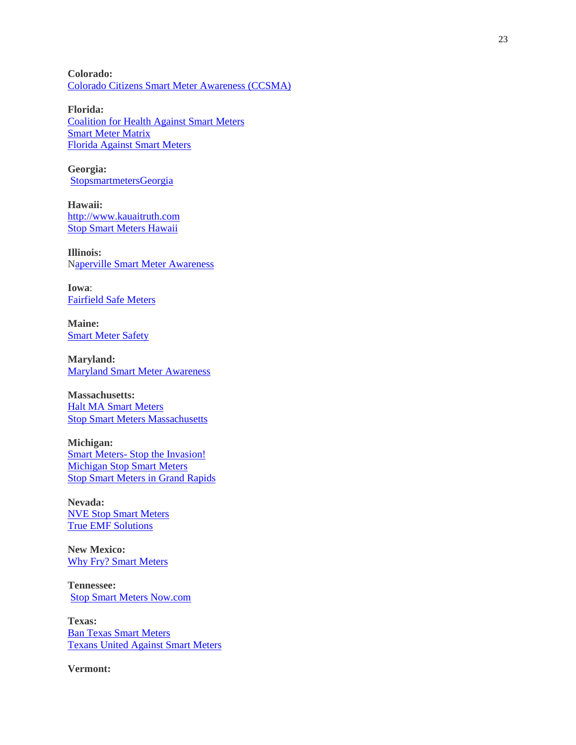**Colorado:**  Colorado Citizens Smart Meter Awareness (CCSMA)

**Florida:**  Coalition for Health Against Smart Meters Smart Meter Matrix Florida Against Smart Meters

**Georgia:**  StopsmartmetersGeorgia

**Hawaii:**  http://www.kauaitruth.com Stop Smart Meters Hawaii

**Illinois:**  Naperville Smart Meter Awareness

**Iowa**: Fairfield Safe Meters

**Maine: Smart Meter Safety** 

**Maryland:**  Maryland Smart Meter Awareness

**Massachusetts:**  Halt MA Smart Meters Stop Smart Meters Massachusetts

**Michigan:**  Smart Meters- Stop the Invasion! Michigan Stop Smart Meters Stop Smart Meters in Grand Rapids

**Nevada:**  NVE Stop Smart Meters True EMF Solutions

**New Mexico:**  Why Fry? Smart Meters

**Tennessee:**  Stop Smart Meters Now.com

**Texas:**  Ban Texas Smart Meters Texans United Against Smart Meters

**Vermont:**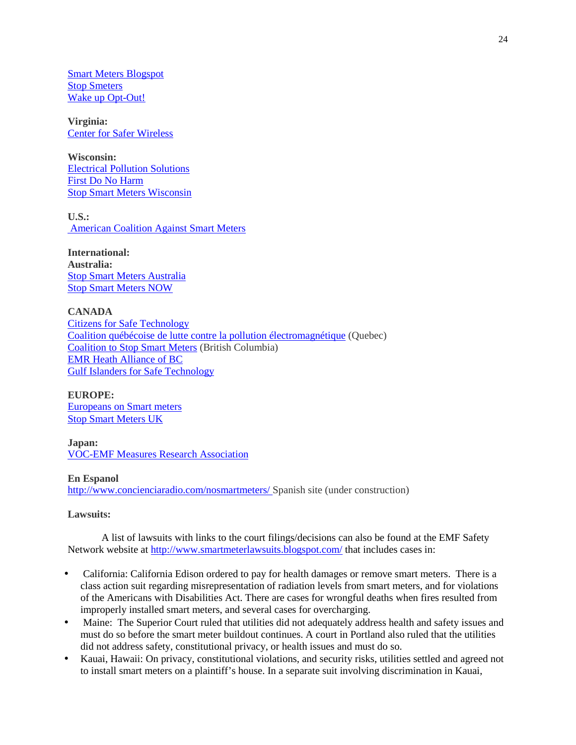Smart Meters Blogspot Stop Smeters Wake up Opt-Out!

**Virginia:**  Center for Safer Wireless

**Wisconsin:**  Electrical Pollution Solutions First Do No Harm Stop Smart Meters Wisconsin

**U.S.:**  American Coalition Against Smart Meters

**International: Australia:**  Stop Smart Meters Australia Stop Smart Meters NOW

**CANADA**  Citizens for Safe Technology Coalition québécoise de lutte contre la pollution électromagnétique (Quebec) Coalition to Stop Smart Meters (British Columbia) EMR Heath Alliance of BC Gulf Islanders for Safe Technology

**EUROPE:** Europeans on Smart meters Stop Smart Meters UK

**Japan:**  VOC-EMF Measures Research Association

**En Espanol** http://www.concienciaradio.com/nosmartmeters/ Spanish site (under construction)

**Lawsuits:** 

 A list of lawsuits with links to the court filings/decisions can also be found at the EMF Safety Network website at http://www.smartmeterlawsuits.blogspot.com/ that includes cases in:

- California: California Edison ordered to pay for health damages or remove smart meters. There is a class action suit regarding misrepresentation of radiation levels from smart meters, and for violations of the Americans with Disabilities Act. There are cases for wrongful deaths when fires resulted from improperly installed smart meters, and several cases for overcharging.
- Maine: The Superior Court ruled that utilities did not adequately address health and safety issues and must do so before the smart meter buildout continues. A court in Portland also ruled that the utilities did not address safety, constitutional privacy, or health issues and must do so.
- Kauai, Hawaii: On privacy, constitutional violations, and security risks, utilities settled and agreed not to install smart meters on a plaintiff's house. In a separate suit involving discrimination in Kauai,